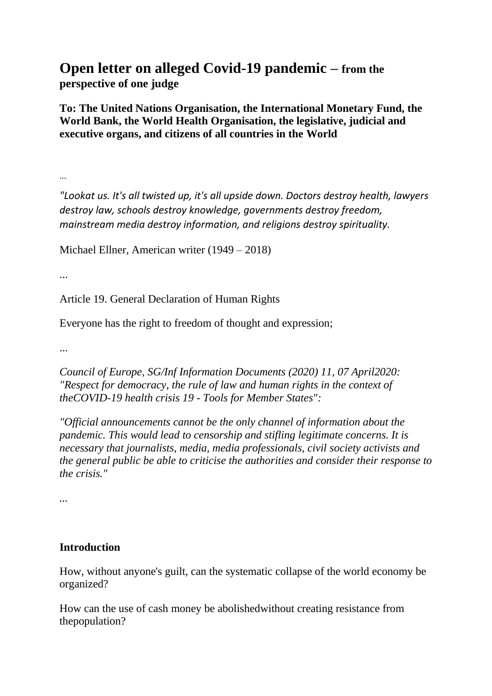# **Open letter on alleged Covid-19 pandemic – from the perspective of one judge**

**To: The United Nations Organisation, the International Monetary Fund, the World Bank, the World Health Organisation, the legislative, judicial and executive organs, and citizens of all countries in the World**

...

*"Lookat us. It's all twisted up, it's all upside down. Doctors destroy health, lawyers destroy law, schools destroy knowledge, governments destroy freedom, mainstream media destroy information, and religions destroy spirituality.*

Michael Ellner, American writer (1949 – 2018)

...

Article 19. General Declaration of Human Rights

Everyone has the right to freedom of thought and expression;

...

*Council of Europe, SG/Inf Information Documents (2020) 11, 07 April2020: "Respect for democracy, the rule of law and human rights in the context of theCOVID-19 health crisis 19 - Tools for Member States":*

*"Official announcements cannot be the only channel of information about the pandemic. This would lead to censorship and stifling legitimate concerns. It is necessary that journalists, media, media professionals, civil society activists and the general public be able to criticise the authorities and consider their response to the crisis."*

*...*

### **Introduction**

How, without anyone's guilt, can the systematic collapse of the world economy be organized?

How can the use of cash money be abolishedwithout creating resistance from thepopulation?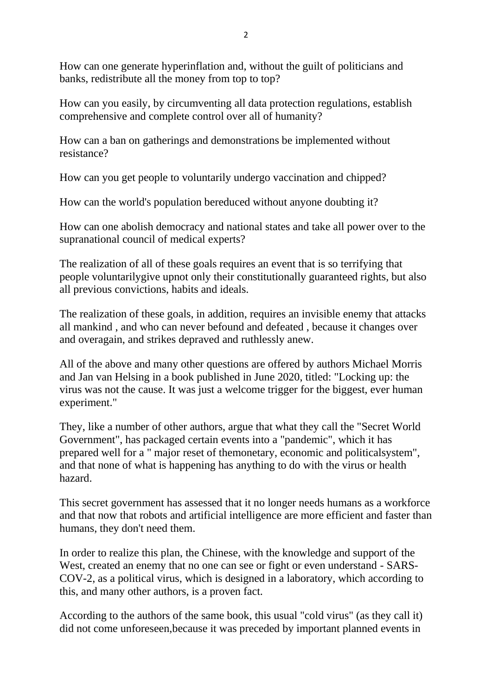How can one generate hyperinflation and, without the guilt of politicians and banks, redistribute all the money from top to top?

How can you easily, by circumventing all data protection regulations, establish comprehensive and complete control over all of humanity?

How can a ban on gatherings and demonstrations be implemented without resistance?

How can you get people to voluntarily undergo vaccination and chipped?

How can the world's population bereduced without anyone doubting it?

How can one abolish democracy and national states and take all power over to the supranational council of medical experts?

The realization of all of these goals requires an event that is so terrifying that people voluntarilygive upnot only their constitutionally guaranteed rights, but also all previous convictions, habits and ideals.

The realization of these goals, in addition, requires an invisible enemy that attacks all mankind , and who can never befound and defeated , because it changes over and overagain, and strikes depraved and ruthlessly anew.

All of the above and many other questions are offered by authors Michael Morris and Jan van Helsing in a book published in June 2020, titled: "Locking up: the virus was not the cause. It was just a welcome trigger for the biggest, ever human experiment."

They, like a number of other authors, argue that what they call the "Secret World Government", has packaged certain events into a "pandemic", which it has prepared well for a " major reset of themonetary, economic and politicalsystem", and that none of what is happening has anything to do with the virus or health hazard.

This secret government has assessed that it no longer needs humans as a workforce and that now that robots and artificial intelligence are more efficient and faster than humans, they don't need them.

In order to realize this plan, the Chinese, with the knowledge and support of the West, created an enemy that no one can see or fight or even understand - SARS-COV-2, as a political virus, which is designed in a laboratory, which according to this, and many other authors, is a proven fact.

According to the authors of the same book, this usual "cold virus" (as they call it) did not come unforeseen,because it was preceded by important planned events in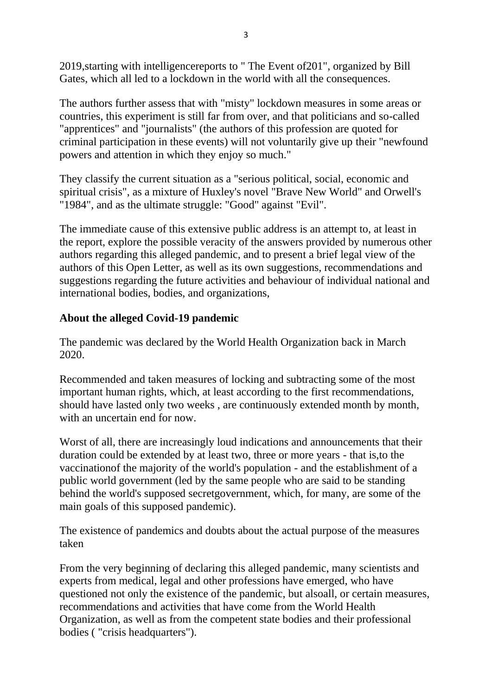2019,starting with intelligencereports to " The Event of201", organized by Bill Gates, which all led to a lockdown in the world with all the consequences.

The authors further assess that with "misty" lockdown measures in some areas or countries, this experiment is still far from over, and that politicians and so-called "apprentices" and "journalists" (the authors of this profession are quoted for criminal participation in these events) will not voluntarily give up their "newfound powers and attention in which they enjoy so much."

They classify the current situation as a "serious political, social, economic and spiritual crisis", as a mixture of Huxley's novel "Brave New World" and Orwell's "1984", and as the ultimate struggle: "Good" against "Evil".

The immediate cause of this extensive public address is an attempt to, at least in the report, explore the possible veracity of the answers provided by numerous other authors regarding this alleged pandemic, and to present a brief legal view of the authors of this Open Letter, as well as its own suggestions, recommendations and suggestions regarding the future activities and behaviour of individual national and international bodies, bodies, and organizations,

### **About the alleged Covid-19 pandemic**

The pandemic was declared by the World Health Organization back in March 2020.

Recommended and taken measures of locking and subtracting some of the most important human rights, which, at least according to the first recommendations, should have lasted only two weeks , are continuously extended month by month, with an uncertain end for now.

Worst of all, there are increasingly loud indications and announcements that their duration could be extended by at least two, three or more years - that is,to the vaccinationof the majority of the world's population - and the establishment of a public world government (led by the same people who are said to be standing behind the world's supposed secretgovernment, which, for many, are some of the main goals of this supposed pandemic).

The existence of pandemics and doubts about the actual purpose of the measures taken

From the very beginning of declaring this alleged pandemic, many scientists and experts from medical, legal and other professions have emerged, who have questioned not only the existence of the pandemic, but alsoall, or certain measures, recommendations and activities that have come from the World Health Organization, as well as from the competent state bodies and their professional bodies ( "crisis headquarters").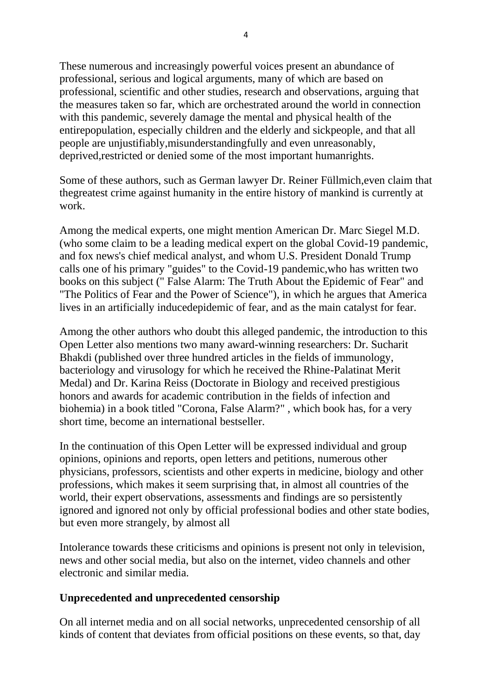These numerous and increasingly powerful voices present an abundance of professional, serious and logical arguments, many of which are based on professional, scientific and other studies, research and observations, arguing that the measures taken so far, which are orchestrated around the world in connection with this pandemic, severely damage the mental and physical health of the entirepopulation, especially children and the elderly and sickpeople, and that all people are unjustifiably,misunderstandingfully and even unreasonably, deprived, restricted or denied some of the most important humanrights.

Some of these authors, such as German lawyer Dr. Reiner Füllmich,even claim that thegreatest crime against humanity in the entire history of mankind is currently at work.

Among the medical experts, one might mention American Dr. Marc Siegel M.D. (who some claim to be a leading medical expert on the global Covid-19 pandemic, and fox news's chief medical analyst, and whom U.S. President Donald Trump calls one of his primary "guides" to the Covid-19 pandemic,who has written two books on this subject (" False Alarm: The Truth About the Epidemic of Fear" and "The Politics of Fear and the Power of Science"), in which he argues that America lives in an artificially inducedepidemic of fear, and as the main catalyst for fear.

Among the other authors who doubt this alleged pandemic, the introduction to this Open Letter also mentions two many award-winning researchers: Dr. Sucharit Bhakdi (published over three hundred articles in the fields of immunology, bacteriology and virusology for which he received the Rhine-Palatinat Merit Medal) and Dr. Karina Reiss (Doctorate in Biology and received prestigious honors and awards for academic contribution in the fields of infection and biohemia) in a book titled "Corona, False Alarm?" , which book has, for a very short time, become an international bestseller.

In the continuation of this Open Letter will be expressed individual and group opinions, opinions and reports, open letters and petitions, numerous other physicians, professors, scientists and other experts in medicine, biology and other professions, which makes it seem surprising that, in almost all countries of the world, their expert observations, assessments and findings are so persistently ignored and ignored not only by official professional bodies and other state bodies, but even more strangely, by almost all

Intolerance towards these criticisms and opinions is present not only in television, news and other social media, but also on the internet, video channels and other electronic and similar media.

#### **Unprecedented and unprecedented censorship**

On all internet media and on all social networks, unprecedented censorship of all kinds of content that deviates from official positions on these events, so that, day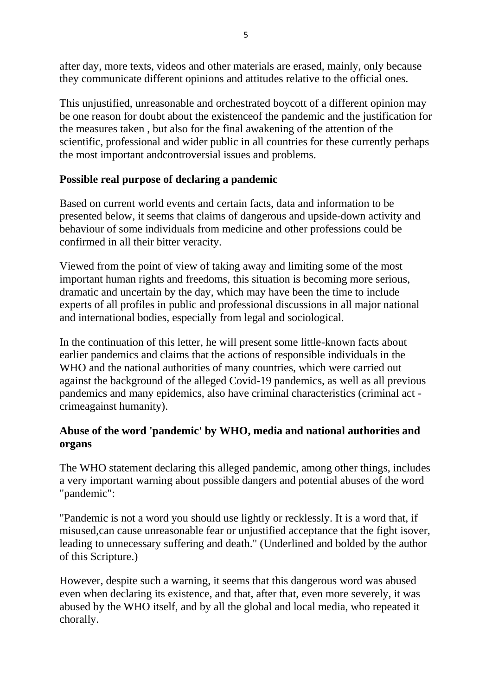after day, more texts, videos and other materials are erased, mainly, only because they communicate different opinions and attitudes relative to the official ones.

This unjustified, unreasonable and orchestrated boycott of a different opinion may be one reason for doubt about the existenceof the pandemic and the justification for the measures taken , but also for the final awakening of the attention of the scientific, professional and wider public in all countries for these currently perhaps the most important andcontroversial issues and problems.

# **Possible real purpose of declaring a pandemic**

Based on current world events and certain facts, data and information to be presented below, it seems that claims of dangerous and upside-down activity and behaviour of some individuals from medicine and other professions could be confirmed in all their bitter veracity.

Viewed from the point of view of taking away and limiting some of the most important human rights and freedoms, this situation is becoming more serious, dramatic and uncertain by the day, which may have been the time to include experts of all profiles in public and professional discussions in all major national and international bodies, especially from legal and sociological.

In the continuation of this letter, he will present some little-known facts about earlier pandemics and claims that the actions of responsible individuals in the WHO and the national authorities of many countries, which were carried out against the background of the alleged Covid-19 pandemics, as well as all previous pandemics and many epidemics, also have criminal characteristics (criminal act crimeagainst humanity).

# **Abuse of the word 'pandemic' by WHO, media and national authorities and organs**

The WHO statement declaring this alleged pandemic, among other things, includes a very important warning about possible dangers and potential abuses of the word "pandemic":

"Pandemic is not a word you should use lightly or recklessly. It is a word that, if misused,can cause unreasonable fear or unjustified acceptance that the fight isover, leading to unnecessary suffering and death." (Underlined and bolded by the author of this Scripture.)

However, despite such a warning, it seems that this dangerous word was abused even when declaring its existence, and that, after that, even more severely, it was abused by the WHO itself, and by all the global and local media, who repeated it chorally.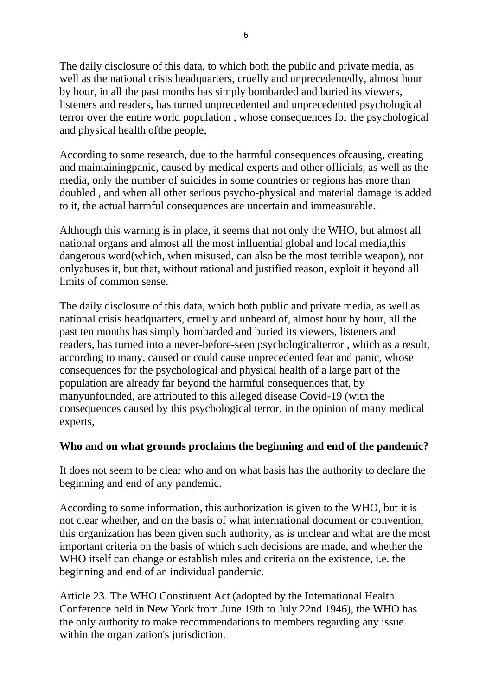The daily disclosure of this data, to which both the public and private media, as well as the national crisis headquarters, cruelly and unprecedentedly, almost hour by hour, in all the past months has simply bombarded and buried its viewers, listeners and readers, has turned unprecedented and unprecedented psychological terror over the entire world population , whose consequences for the psychological and physical health ofthe people,

According to some research, due to the harmful consequences ofcausing, creating and maintainingpanic, caused by medical experts and other officials, as well as the media, only the number of suicides in some countries or regions has more than doubled , and when all other serious psycho-physical and material damage is added to it, the actual harmful consequences are uncertain and immeasurable.

Although this warning is in place, it seems that not only the WHO, but almost all national organs and almost all the most influential global and local media,this dangerous word(which, when misused, can also be the most terrible weapon), not onlyabuses it, but that, without rational and justified reason, exploit it beyond all limits of common sense.

The daily disclosure of this data, which both public and private media, as well as national crisis headquarters, cruelly and unheard of, almost hour by hour, all the past ten months has simply bombarded and buried its viewers, listeners and readers, has turned into a never-before-seen psychologicalterror , which as a result, according to many, caused or could cause unprecedented fear and panic, whose consequences for the psychological and physical health of a large part of the population are already far beyond the harmful consequences that, by manyunfounded, are attributed to this alleged disease Covid-19 (with the consequences caused by this psychological terror, in the opinion of many medical experts,

### **Who and on what grounds proclaims the beginning and end of the pandemic?**

It does not seem to be clear who and on what basis has the authority to declare the beginning and end of any pandemic.

According to some information, this authorization is given to the WHO, but it is not clear whether, and on the basis of what international document or convention, this organization has been given such authority, as is unclear and what are the most important criteria on the basis of which such decisions are made, and whether the WHO itself can change or establish rules and criteria on the existence, i.e. the beginning and end of an individual pandemic.

Article 23. The WHO Constituent Act (adopted by the International Health Conference held in New York from June 19th to July 22nd 1946), the WHO has the only authority to make recommendations to members regarding any issue within the organization's jurisdiction.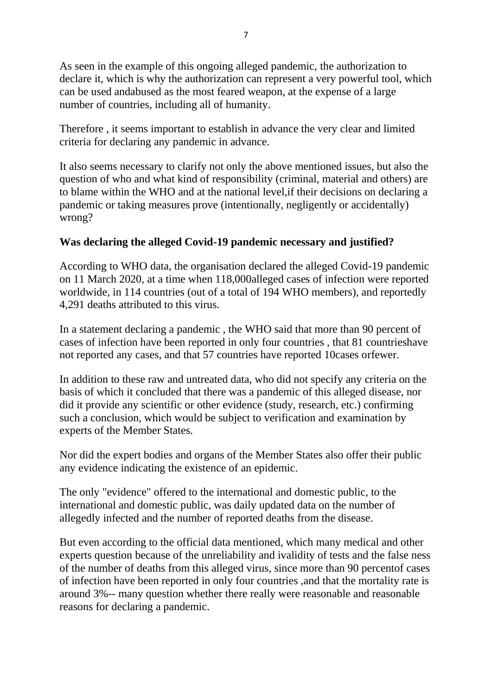As seen in the example of this ongoing alleged pandemic, the authorization to declare it, which is why the authorization can represent a very powerful tool, which can be used andabused as the most feared weapon, at the expense of a large number of countries, including all of humanity.

Therefore , it seems important to establish in advance the very clear and limited criteria for declaring any pandemic in advance.

It also seems necessary to clarify not only the above mentioned issues, but also the question of who and what kind of responsibility (criminal, material and others) are to blame within the WHO and at the national level,if their decisions on declaring a pandemic or taking measures prove (intentionally, negligently or accidentally) wrong?

# **Was declaring the alleged Covid-19 pandemic necessary and justified?**

According to WHO data, the organisation declared the alleged Covid-19 pandemic on 11 March 2020, at a time when 118,000alleged cases of infection were reported worldwide, in 114 countries (out of a total of 194 WHO members), and reportedly 4,291 deaths attributed to this virus.

In a statement declaring a pandemic , the WHO said that more than 90 percent of cases of infection have been reported in only four countries , that 81 countrieshave not reported any cases, and that 57 countries have reported 10cases orfewer.

In addition to these raw and untreated data, who did not specify any criteria on the basis of which it concluded that there was a pandemic of this alleged disease, nor did it provide any scientific or other evidence (study, research, etc.) confirming such a conclusion, which would be subject to verification and examination by experts of the Member States.

Nor did the expert bodies and organs of the Member States also offer their public any evidence indicating the existence of an epidemic.

The only "evidence" offered to the international and domestic public, to the international and domestic public, was daily updated data on the number of allegedly infected and the number of reported deaths from the disease.

But even according to the official data mentioned, which many medical and other experts question because of the unreliability and ivalidity of tests and the false ness of the number of deaths from this alleged virus, since more than 90 percentof cases of infection have been reported in only four countries ,and that the mortality rate is around 3%-- many question whether there really were reasonable and reasonable reasons for declaring a pandemic.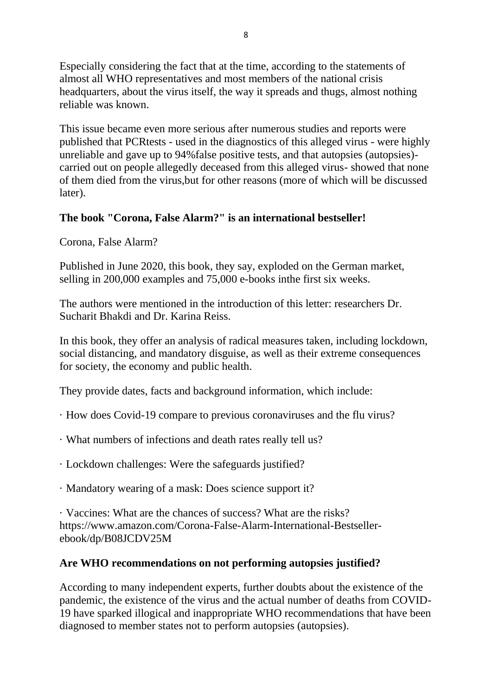Especially considering the fact that at the time, according to the statements of almost all WHO representatives and most members of the national crisis headquarters, about the virus itself, the way it spreads and thugs, almost nothing reliable was known.

This issue became even more serious after numerous studies and reports were published that PCRtests - used in the diagnostics of this alleged virus - were highly unreliable and gave up to 94%false positive tests, and that autopsies (autopsies) carried out on people allegedly deceased from this alleged virus- showed that none of them died from the virus,but for other reasons (more of which will be discussed later).

# **The book "Corona, False Alarm?" is an international bestseller!**

Corona, False Alarm?

Published in June 2020, this book, they say, exploded on the German market, selling in 200,000 examples and 75,000 e-books inthe first six weeks.

The authors were mentioned in the introduction of this letter: researchers Dr. Sucharit Bhakdi and Dr. Karina Reiss.

In this book, they offer an analysis of radical measures taken, including lockdown, social distancing, and mandatory disguise, as well as their extreme consequences for society, the economy and public health.

They provide dates, facts and background information, which include:

- · How does Covid-19 compare to previous coronaviruses and the flu virus?
- · What numbers of infections and death rates really tell us?
- · Lockdown challenges: Were the safeguards justified?
- · Mandatory wearing of a mask: Does science support it?

· Vaccines: What are the chances of success? What are the risks? https://www.amazon.com/Corona-False-Alarm-International-Bestsellerebook/dp/B08JCDV25M

### **Are WHO recommendations on not performing autopsies justified?**

According to many independent experts, further doubts about the existence of the pandemic, the existence of the virus and the actual number of deaths from COVID-19 have sparked illogical and inappropriate WHO recommendations that have been diagnosed to member states not to perform autopsies (autopsies).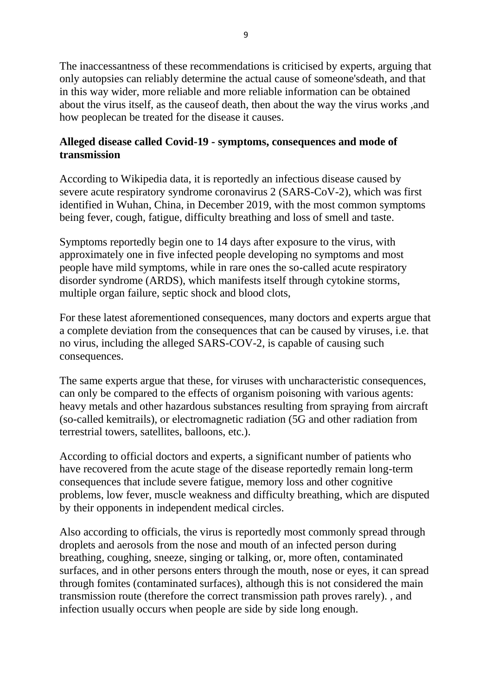The inaccessantness of these recommendations is criticised by experts, arguing that only autopsies can reliably determine the actual cause of someone'sdeath, and that in this way wider, more reliable and more reliable information can be obtained about the virus itself, as the causeof death, then about the way the virus works ,and how peoplecan be treated for the disease it causes.

### **Alleged disease called Covid-19 - symptoms, consequences and mode of transmission**

According to Wikipedia data, it is reportedly an infectious disease caused by severe acute respiratory syndrome coronavirus 2 (SARS-CoV-2), which was first identified in Wuhan, China, in December 2019, with the most common symptoms being fever, cough, fatigue, difficulty breathing and loss of smell and taste.

Symptoms reportedly begin one to 14 days after exposure to the virus, with approximately one in five infected people developing no symptoms and most people have mild symptoms, while in rare ones the so-called acute respiratory disorder syndrome (ARDS), which manifests itself through cytokine storms, multiple organ failure, septic shock and blood clots,

For these latest aforementioned consequences, many doctors and experts argue that a complete deviation from the consequences that can be caused by viruses, i.e. that no virus, including the alleged SARS-COV-2, is capable of causing such consequences.

The same experts argue that these, for viruses with uncharacteristic consequences, can only be compared to the effects of organism poisoning with various agents: heavy metals and other hazardous substances resulting from spraying from aircraft (so-called kemitrails), or electromagnetic radiation (5G and other radiation from terrestrial towers, satellites, balloons, etc.).

According to official doctors and experts, a significant number of patients who have recovered from the acute stage of the disease reportedly remain long-term consequences that include severe fatigue, memory loss and other cognitive problems, low fever, muscle weakness and difficulty breathing, which are disputed by their opponents in independent medical circles.

Also according to officials, the virus is reportedly most commonly spread through droplets and aerosols from the nose and mouth of an infected person during breathing, coughing, sneeze, singing or talking, or, more often, contaminated surfaces, and in other persons enters through the mouth, nose or eyes, it can spread through fomites (contaminated surfaces), although this is not considered the main transmission route (therefore the correct transmission path proves rarely). , and infection usually occurs when people are side by side long enough.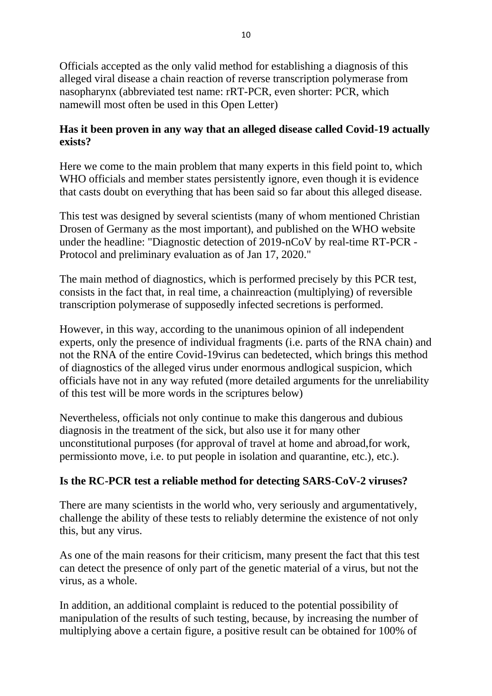Officials accepted as the only valid method for establishing a diagnosis of this alleged viral disease a chain reaction of reverse transcription polymerase from nasopharynx (abbreviated test name: rRT-PCR, even shorter: PCR, which namewill most often be used in this Open Letter)

# **Has it been proven in any way that an alleged disease called Covid-19 actually exists?**

Here we come to the main problem that many experts in this field point to, which WHO officials and member states persistently ignore, even though it is evidence that casts doubt on everything that has been said so far about this alleged disease.

This test was designed by several scientists (many of whom mentioned Christian Drosen of Germany as the most important), and published on the WHO website under the headline: "Diagnostic detection of 2019-nCoV by real-time RT-PCR - Protocol and preliminary evaluation as of Jan 17, 2020."

The main method of diagnostics, which is performed precisely by this PCR test, consists in the fact that, in real time, a chainreaction (multiplying) of reversible transcription polymerase of supposedly infected secretions is performed.

However, in this way, according to the unanimous opinion of all independent experts, only the presence of individual fragments (i.e. parts of the RNA chain) and not the RNA of the entire Covid-19virus can bedetected, which brings this method of diagnostics of the alleged virus under enormous andlogical suspicion, which officials have not in any way refuted (more detailed arguments for the unreliability of this test will be more words in the scriptures below)

Nevertheless, officials not only continue to make this dangerous and dubious diagnosis in the treatment of the sick, but also use it for many other unconstitutional purposes (for approval of travel at home and abroad,for work, permissionto move, i.e. to put people in isolation and quarantine, etc.), etc.).

# **Is the RC-PCR test a reliable method for detecting SARS-CoV-2 viruses?**

There are many scientists in the world who, very seriously and argumentatively, challenge the ability of these tests to reliably determine the existence of not only this, but any virus.

As one of the main reasons for their criticism, many present the fact that this test can detect the presence of only part of the genetic material of a virus, but not the virus, as a whole.

In addition, an additional complaint is reduced to the potential possibility of manipulation of the results of such testing, because, by increasing the number of multiplying above a certain figure, a positive result can be obtained for 100% of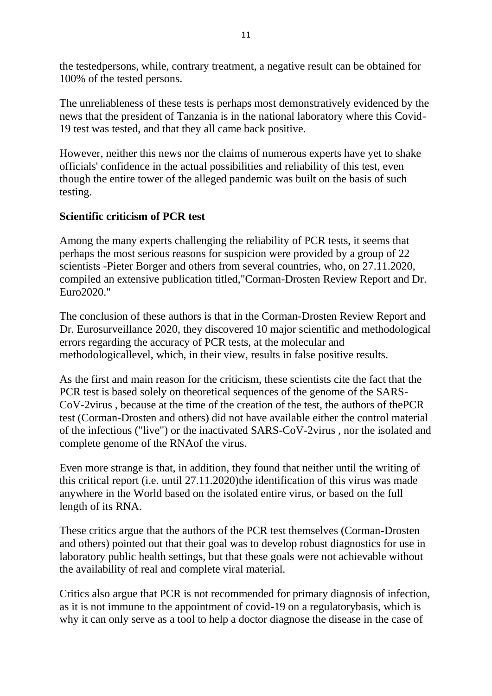the testedpersons, while, contrary treatment, a negative result can be obtained for 100% of the tested persons.

The unreliableness of these tests is perhaps most demonstratively evidenced by the news that the president of Tanzania is in the national laboratory where this Covid-19 test was tested, and that they all came back positive.

However, neither this news nor the claims of numerous experts have yet to shake officials' confidence in the actual possibilities and reliability of this test, even though the entire tower of the alleged pandemic was built on the basis of such testing.

#### **Scientific criticism of PCR test**

Among the many experts challenging the reliability of PCR tests, it seems that perhaps the most serious reasons for suspicion were provided by a group of 22 scientists -Pieter Borger and others from several countries, who, on 27.11.2020, compiled an extensive publication titled,"Corman-Drosten Review Report and Dr. Euro2020."

The conclusion of these authors is that in the Corman-Drosten Review Report and Dr. Eurosurveillance 2020, they discovered 10 major scientific and methodological errors regarding the accuracy of PCR tests, at the molecular and methodologicallevel, which, in their view, results in false positive results.

As the first and main reason for the criticism, these scientists cite the fact that the PCR test is based solely on theoretical sequences of the genome of the SARS-CoV-2virus , because at the time of the creation of the test, the authors of thePCR test (Corman-Drosten and others) did not have available either the control material of the infectious ("live") or the inactivated SARS-CoV-2virus , nor the isolated and complete genome of the RNAof the virus.

Even more strange is that, in addition, they found that neither until the writing of this critical report (i.e. until 27.11.2020)the identification of this virus was made anywhere in the World based on the isolated entire virus, or based on the full length of its RNA.

These critics argue that the authors of the PCR test themselves (Corman-Drosten and others) pointed out that their goal was to develop robust diagnostics for use in laboratory public health settings, but that these goals were not achievable without the availability of real and complete viral material.

Critics also argue that PCR is not recommended for primary diagnosis of infection, as it is not immune to the appointment of covid-19 on a regulatorybasis, which is why it can only serve as a tool to help a doctor diagnose the disease in the case of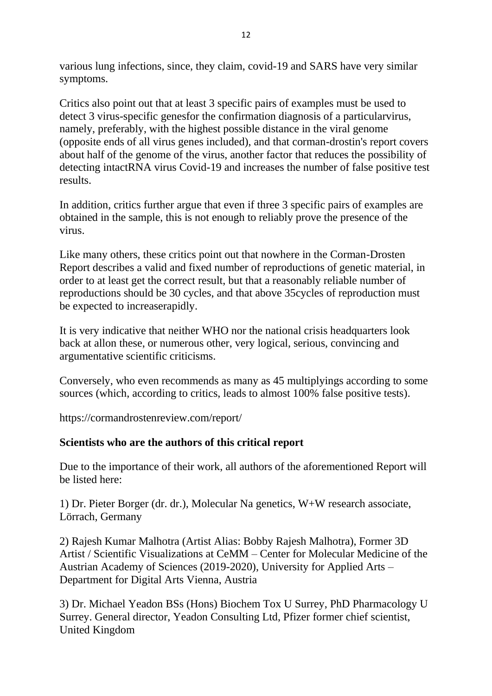various lung infections, since, they claim, covid-19 and SARS have very similar symptoms.

Critics also point out that at least 3 specific pairs of examples must be used to detect 3 virus-specific genesfor the confirmation diagnosis of a particularvirus, namely, preferably, with the highest possible distance in the viral genome (opposite ends of all virus genes included), and that corman-drostin's report covers about half of the genome of the virus, another factor that reduces the possibility of detecting intactRNA virus Covid-19 and increases the number of false positive test results.

In addition, critics further argue that even if three 3 specific pairs of examples are obtained in the sample, this is not enough to reliably prove the presence of the virus.

Like many others, these critics point out that nowhere in the Corman-Drosten Report describes a valid and fixed number of reproductions of genetic material, in order to at least get the correct result, but that a reasonably reliable number of reproductions should be 30 cycles, and that above 35cycles of reproduction must be expected to increaserapidly.

It is very indicative that neither WHO nor the national crisis headquarters look back at allon these, or numerous other, very logical, serious, convincing and argumentative scientific criticisms.

Conversely, who even recommends as many as 45 multiplyings according to some sources (which, according to critics, leads to almost 100% false positive tests).

https://cormandrostenreview.com/report/

### **Scientists who are the authors of this critical report**

Due to the importance of their work, all authors of the aforementioned Report will be listed here:

1) Dr. Pieter Borger (dr. dr.), Molecular Na genetics, W+W research associate, Lörrach, Germany

2) Rajesh Kumar Malhotra (Artist Alias: Bobby Rajesh Malhotra), Former 3D Artist / Scientific Visualizations at CeMM – Center for Molecular Medicine of the Austrian Academy of Sciences (2019-2020), University for Applied Arts – Department for Digital Arts Vienna, Austria

3) Dr. Michael Yeadon BSs (Hons) Biochem Tox U Surrey, PhD Pharmacology U Surrey. General director, Yeadon Consulting Ltd, Pfizer former chief scientist, United Kingdom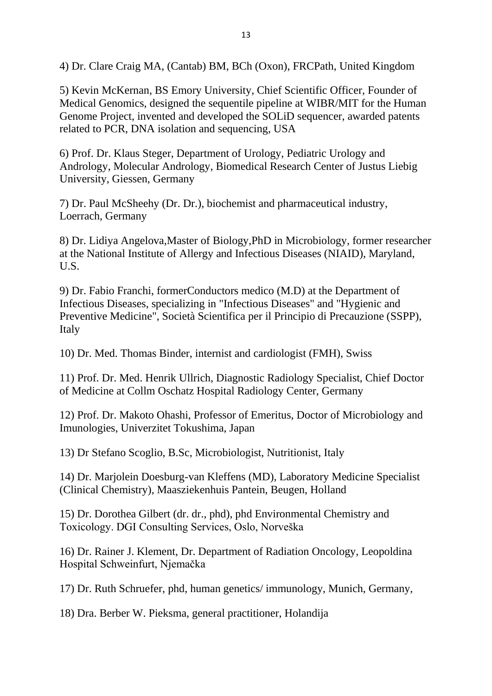4) Dr. Clare Craig MA, (Cantab) BM, BCh (Oxon), FRCPath, United Kingdom

5) Kevin McKernan, BS Emory University, Chief Scientific Officer, Founder of Medical Genomics, designed the sequentile pipeline at WIBR/MIT for the Human Genome Project, invented and developed the SOLiD sequencer, awarded patents related to PCR, DNA isolation and sequencing, USA

6) Prof. Dr. Klaus Steger, Department of Urology, Pediatric Urology and Andrology, Molecular Andrology, Biomedical Research Center of Justus Liebig University, Giessen, Germany

7) Dr. Paul McSheehy (Dr. Dr.), biochemist and pharmaceutical industry, Loerrach, Germany

8) Dr. Lidiya Angelova,Master of Biology,PhD in Microbiology, former researcher at the National Institute of Allergy and Infectious Diseases (NIAID), Maryland, U.S.

9) Dr. Fabio Franchi, formerConductors medico (M.D) at the Department of Infectious Diseases, specializing in "Infectious Diseases" and "Hygienic and Preventive Medicine", Società Scientifica per il Principio di Precauzione (SSPP), Italy

10) Dr. Med. Thomas Binder, internist and cardiologist (FMH), Swiss

11) Prof. Dr. Med. Henrik Ullrich, Diagnostic Radiology Specialist, Chief Doctor of Medicine at Collm Oschatz Hospital Radiology Center, Germany

12) Prof. Dr. Makoto Ohashi, Professor of Emeritus, Doctor of Microbiology and Imunologies, Univerzitet Tokushima, Japan

13) Dr Stefano Scoglio, B.Sc, Microbiologist, Nutritionist, Italy

14) Dr. Marjolein Doesburg-van Kleffens (MD), Laboratory Medicine Specialist (Clinical Chemistry), Maasziekenhuis Pantein, Beugen, Holland

15) Dr. Dorothea Gilbert (dr. dr., phd), phd Environmental Chemistry and Toxicology. DGI Consulting Services, Oslo, Norveška

16) Dr. Rainer J. Klement, Dr. Department of Radiation Oncology, Leopoldina Hospital Schweinfurt, Njemačka

17) Dr. Ruth Schruefer, phd, human genetics/ immunology, Munich, Germany,

18) Dra. Berber W. Pieksma, general practitioner, Holandija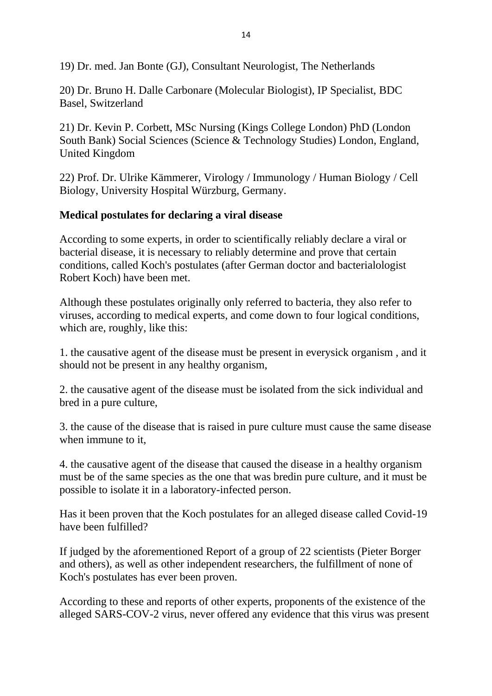19) Dr. med. Jan Bonte (GJ), Consultant Neurologist, The Netherlands

20) Dr. Bruno H. Dalle Carbonare (Molecular Biologist), IP Specialist, BDC Basel, Switzerland

21) Dr. Kevin P. Corbett, MSc Nursing (Kings College London) PhD (London South Bank) Social Sciences (Science & Technology Studies) London, England, United Kingdom

22) Prof. Dr. Ulrike Kämmerer, Virology / Immunology / Human Biology / Cell Biology, University Hospital Würzburg, Germany.

#### **Medical postulates for declaring a viral disease**

According to some experts, in order to scientifically reliably declare a viral or bacterial disease, it is necessary to reliably determine and prove that certain conditions, called Koch's postulates (after German doctor and bacterialologist Robert Koch) have been met.

Although these postulates originally only referred to bacteria, they also refer to viruses, according to medical experts, and come down to four logical conditions, which are, roughly, like this:

1. the causative agent of the disease must be present in everysick organism , and it should not be present in any healthy organism,

2. the causative agent of the disease must be isolated from the sick individual and bred in a pure culture,

3. the cause of the disease that is raised in pure culture must cause the same disease when immune to it,

4. the causative agent of the disease that caused the disease in a healthy organism must be of the same species as the one that was bredin pure culture, and it must be possible to isolate it in a laboratory-infected person.

Has it been proven that the Koch postulates for an alleged disease called Covid-19 have been fulfilled?

If judged by the aforementioned Report of a group of 22 scientists (Pieter Borger and others), as well as other independent researchers, the fulfillment of none of Koch's postulates has ever been proven.

According to these and reports of other experts, proponents of the existence of the alleged SARS-COV-2 virus, never offered any evidence that this virus was present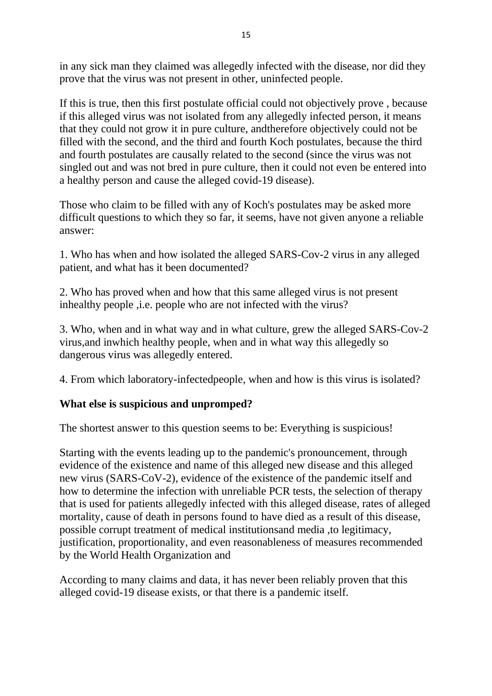in any sick man they claimed was allegedly infected with the disease, nor did they prove that the virus was not present in other, uninfected people.

If this is true, then this first postulate official could not objectively prove , because if this alleged virus was not isolated from any allegedly infected person, it means that they could not grow it in pure culture, andtherefore objectively could not be filled with the second, and the third and fourth Koch postulates, because the third and fourth postulates are causally related to the second (since the virus was not singled out and was not bred in pure culture, then it could not even be entered into a healthy person and cause the alleged covid-19 disease).

Those who claim to be filled with any of Koch's postulates may be asked more difficult questions to which they so far, it seems, have not given anyone a reliable answer:

1. Who has when and how isolated the alleged SARS-Cov-2 virus in any alleged patient, and what has it been documented?

2. Who has proved when and how that this same alleged virus is not present inhealthy people ,i.e. people who are not infected with the virus?

3. Who, when and in what way and in what culture, grew the alleged SARS-Cov-2 virus,and inwhich healthy people, when and in what way this allegedly so dangerous virus was allegedly entered.

4. From which laboratory-infectedpeople, when and how is this virus is isolated?

### **What else is suspicious and unpromped?**

The shortest answer to this question seems to be: Everything is suspicious!

Starting with the events leading up to the pandemic's pronouncement, through evidence of the existence and name of this alleged new disease and this alleged new virus (SARS-CoV-2), evidence of the existence of the pandemic itself and how to determine the infection with unreliable PCR tests, the selection of therapy that is used for patients allegedly infected with this alleged disease, rates of alleged mortality, cause of death in persons found to have died as a result of this disease, possible corrupt treatment of medical institutionsand media ,to legitimacy, justification, proportionality, and even reasonableness of measures recommended by the World Health Organization and

According to many claims and data, it has never been reliably proven that this alleged covid-19 disease exists, or that there is a pandemic itself.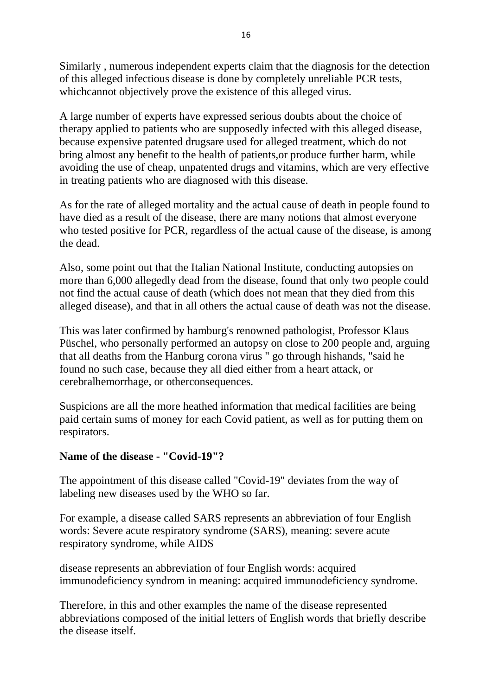Similarly , numerous independent experts claim that the diagnosis for the detection of this alleged infectious disease is done by completely unreliable PCR tests, whichcannot objectively prove the existence of this alleged virus.

A large number of experts have expressed serious doubts about the choice of therapy applied to patients who are supposedly infected with this alleged disease, because expensive patented drugsare used for alleged treatment, which do not bring almost any benefit to the health of patients,or produce further harm, while avoiding the use of cheap, unpatented drugs and vitamins, which are very effective in treating patients who are diagnosed with this disease.

As for the rate of alleged mortality and the actual cause of death in people found to have died as a result of the disease, there are many notions that almost everyone who tested positive for PCR, regardless of the actual cause of the disease, is among the dead.

Also, some point out that the Italian National Institute, conducting autopsies on more than 6,000 allegedly dead from the disease, found that only two people could not find the actual cause of death (which does not mean that they died from this alleged disease), and that in all others the actual cause of death was not the disease.

This was later confirmed by hamburg's renowned pathologist, Professor Klaus Püschel, who personally performed an autopsy on close to 200 people and, arguing that all deaths from the Hanburg corona virus " go through hishands, "said he found no such case, because they all died either from a heart attack, or cerebralhemorrhage, or otherconsequences.

Suspicions are all the more heathed information that medical facilities are being paid certain sums of money for each Covid patient, as well as for putting them on respirators.

#### **Name of the disease - "Covid-19"?**

The appointment of this disease called "Covid-19" deviates from the way of labeling new diseases used by the WHO so far.

For example, a disease called SARS represents an abbreviation of four English words: Severe acute respiratory syndrome (SARS), meaning: severe acute respiratory syndrome, while AIDS

disease represents an abbreviation of four English words: acquired immunodeficiency syndrom in meaning: acquired immunodeficiency syndrome.

Therefore, in this and other examples the name of the disease represented abbreviations composed of the initial letters of English words that briefly describe the disease itself.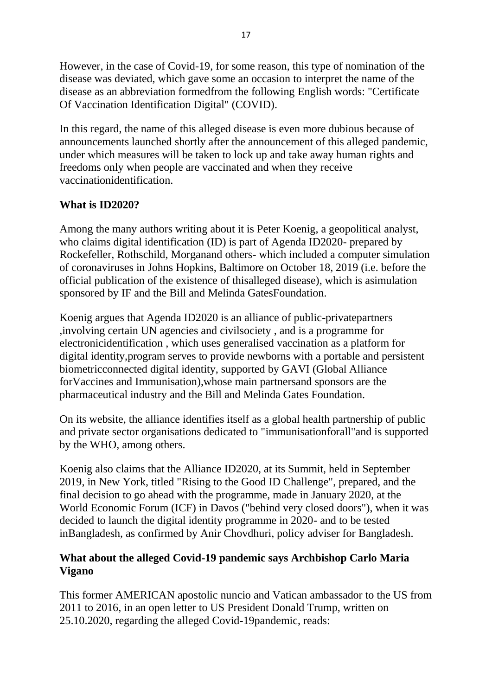However, in the case of Covid-19, for some reason, this type of nomination of the disease was deviated, which gave some an occasion to interpret the name of the disease as an abbreviation formedfrom the following English words: "Certificate Of Vaccination Identification Digital" (COVID).

In this regard, the name of this alleged disease is even more dubious because of announcements launched shortly after the announcement of this alleged pandemic, under which measures will be taken to lock up and take away human rights and freedoms only when people are vaccinated and when they receive vaccinationidentification.

### **What is ID2020?**

Among the many authors writing about it is Peter Koenig, a geopolitical analyst, who claims digital identification (ID) is part of Agenda ID2020- prepared by Rockefeller, Rothschild, Morganand others- which included a computer simulation of coronaviruses in Johns Hopkins, Baltimore on October 18, 2019 (i.e. before the official publication of the existence of thisalleged disease), which is asimulation sponsored by IF and the Bill and Melinda GatesFoundation.

Koenig argues that Agenda ID2020 is an alliance of public-privatepartners ,involving certain UN agencies and civilsociety , and is a programme for electronicidentification , which uses generalised vaccination as a platform for digital identity,program serves to provide newborns with a portable and persistent biometricconnected digital identity, supported by GAVI (Global Alliance forVaccines and Immunisation),whose main partnersand sponsors are the pharmaceutical industry and the Bill and Melinda Gates Foundation.

On its website, the alliance identifies itself as a global health partnership of public and private sector organisations dedicated to "immunisationforall"and is supported by the WHO, among others.

Koenig also claims that the Alliance ID2020, at its Summit, held in September 2019, in New York, titled "Rising to the Good ID Challenge", prepared, and the final decision to go ahead with the programme, made in January 2020, at the World Economic Forum (ICF) in Davos ("behind very closed doors"), when it was decided to launch the digital identity programme in 2020- and to be tested inBangladesh, as confirmed by Anir Chovdhuri, policy adviser for Bangladesh.

### **What about the alleged Covid-19 pandemic says Archbishop Carlo Maria Vigano**

This former AMERICAN apostolic nuncio and Vatican ambassador to the US from 2011 to 2016, in an open letter to US President Donald Trump, written on 25.10.2020, regarding the alleged Covid-19pandemic, reads: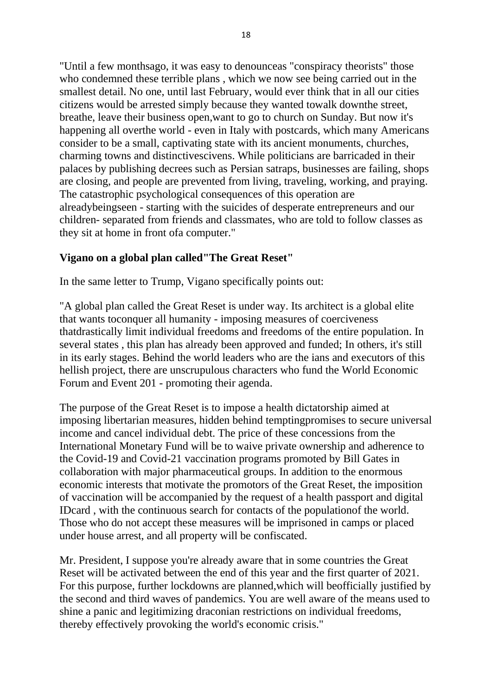"Until a few monthsago, it was easy to denounceas "conspiracy theorists" those who condemned these terrible plans , which we now see being carried out in the smallest detail. No one, until last February, would ever think that in all our cities citizens would be arrested simply because they wanted towalk downthe street, breathe, leave their business open,want to go to church on Sunday. But now it's happening all overthe world - even in Italy with postcards, which many Americans consider to be a small, captivating state with its ancient monuments, churches, charming towns and distinctivescivens. While politicians are barricaded in their palaces by publishing decrees such as Persian satraps, businesses are failing, shops are closing, and people are prevented from living, traveling, working, and praying. The catastrophic psychological consequences of this operation are alreadybeingseen - starting with the suicides of desperate entrepreneurs and our children- separated from friends and classmates, who are told to follow classes as they sit at home in front ofa computer."

#### **Vigano on a global plan called"The Great Reset"**

In the same letter to Trump, Vigano specifically points out:

"A global plan called the Great Reset is under way. Its architect is a global elite that wants toconquer all humanity - imposing measures of coerciveness thatdrastically limit individual freedoms and freedoms of the entire population. In several states , this plan has already been approved and funded; In others, it's still in its early stages. Behind the world leaders who are the ians and executors of this hellish project, there are unscrupulous characters who fund the World Economic Forum and Event 201 - promoting their agenda.

The purpose of the Great Reset is to impose a health dictatorship aimed at imposing libertarian measures, hidden behind temptingpromises to secure universal income and cancel individual debt. The price of these concessions from the International Monetary Fund will be to waive private ownership and adherence to the Covid-19 and Covid-21 vaccination programs promoted by Bill Gates in collaboration with major pharmaceutical groups. In addition to the enormous economic interests that motivate the promotors of the Great Reset, the imposition of vaccination will be accompanied by the request of a health passport and digital IDcard , with the continuous search for contacts of the populationof the world. Those who do not accept these measures will be imprisoned in camps or placed under house arrest, and all property will be confiscated.

Mr. President, I suppose you're already aware that in some countries the Great Reset will be activated between the end of this year and the first quarter of 2021. For this purpose, further lockdowns are planned,which will beofficially justified by the second and third waves of pandemics. You are well aware of the means used to shine a panic and legitimizing draconian restrictions on individual freedoms, thereby effectively provoking the world's economic crisis."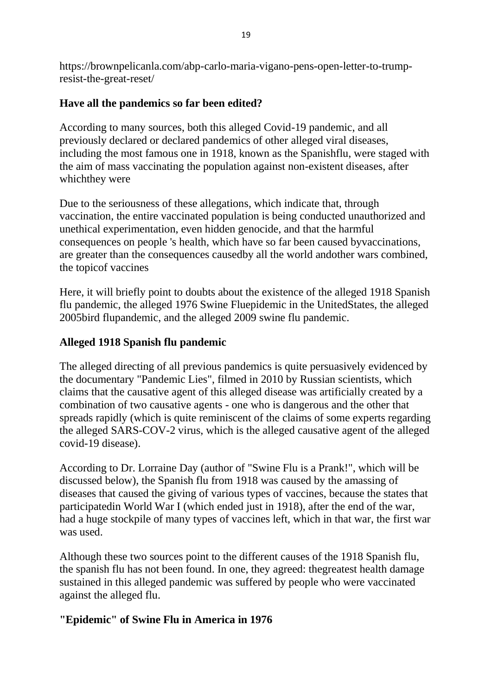https://brownpelicanla.com/abp-carlo-maria-vigano-pens-open-letter-to-trumpresist-the-great-reset/

# **Have all the pandemics so far been edited?**

According to many sources, both this alleged Covid-19 pandemic, and all previously declared or declared pandemics of other alleged viral diseases, including the most famous one in 1918, known as the Spanishflu, were staged with the aim of mass vaccinating the population against non-existent diseases, after whichthey were

Due to the seriousness of these allegations, which indicate that, through vaccination, the entire vaccinated population is being conducted unauthorized and unethical experimentation, even hidden genocide, and that the harmful consequences on people 's health, which have so far been caused byvaccinations, are greater than the consequences causedby all the world andother wars combined, the topicof vaccines

Here, it will briefly point to doubts about the existence of the alleged 1918 Spanish flu pandemic, the alleged 1976 Swine Fluepidemic in the UnitedStates, the alleged 2005bird flupandemic, and the alleged 2009 swine flu pandemic.

# **Alleged 1918 Spanish flu pandemic**

The alleged directing of all previous pandemics is quite persuasively evidenced by the documentary "Pandemic Lies", filmed in 2010 by Russian scientists, which claims that the causative agent of this alleged disease was artificially created by a combination of two causative agents - one who is dangerous and the other that spreads rapidly (which is quite reminiscent of the claims of some experts regarding the alleged SARS-COV-2 virus, which is the alleged causative agent of the alleged covid-19 disease).

According to Dr. Lorraine Day (author of "Swine Flu is a Prank!", which will be discussed below), the Spanish flu from 1918 was caused by the amassing of diseases that caused the giving of various types of vaccines, because the states that participatedin World War I (which ended just in 1918), after the end of the war, had a huge stockpile of many types of vaccines left, which in that war, the first war was used.

Although these two sources point to the different causes of the 1918 Spanish flu, the spanish flu has not been found. In one, they agreed: thegreatest health damage sustained in this alleged pandemic was suffered by people who were vaccinated against the alleged flu.

### **"Epidemic" of Swine Flu in America in 1976**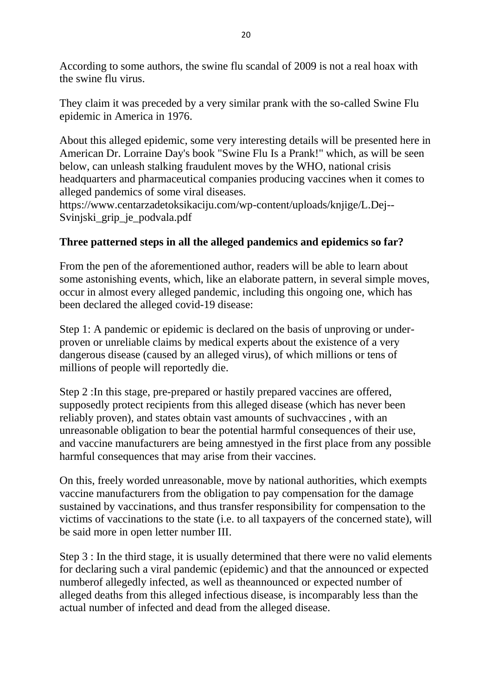According to some authors, the swine flu scandal of 2009 is not a real hoax with the swine flu virus.

They claim it was preceded by a very similar prank with the so-called Swine Flu epidemic in America in 1976.

About this alleged epidemic, some very interesting details will be presented here in American Dr. Lorraine Day's book "Swine Flu Is a Prank!" which, as will be seen below, can unleash stalking fraudulent moves by the WHO, national crisis headquarters and pharmaceutical companies producing vaccines when it comes to alleged pandemics of some viral diseases.

https://www.centarzadetoksikaciju.com/wp-content/uploads/knjige/L.Dej-- Svinjski\_grip\_je\_podvala.pdf

# **Three patterned steps in all the alleged pandemics and epidemics so far?**

From the pen of the aforementioned author, readers will be able to learn about some astonishing events, which, like an elaborate pattern, in several simple moves, occur in almost every alleged pandemic, including this ongoing one, which has been declared the alleged covid-19 disease:

Step 1: A pandemic or epidemic is declared on the basis of unproving or underproven or unreliable claims by medical experts about the existence of a very dangerous disease (caused by an alleged virus), of which millions or tens of millions of people will reportedly die.

Step 2 :In this stage, pre-prepared or hastily prepared vaccines are offered, supposedly protect recipients from this alleged disease (which has never been reliably proven), and states obtain vast amounts of suchvaccines , with an unreasonable obligation to bear the potential harmful consequences of their use, and vaccine manufacturers are being amnestyed in the first place from any possible harmful consequences that may arise from their vaccines.

On this, freely worded unreasonable, move by national authorities, which exempts vaccine manufacturers from the obligation to pay compensation for the damage sustained by vaccinations, and thus transfer responsibility for compensation to the victims of vaccinations to the state (i.e. to all taxpayers of the concerned state), will be said more in open letter number III.

Step 3 : In the third stage, it is usually determined that there were no valid elements for declaring such a viral pandemic (epidemic) and that the announced or expected numberof allegedly infected, as well as theannounced or expected number of alleged deaths from this alleged infectious disease, is incomparably less than the actual number of infected and dead from the alleged disease.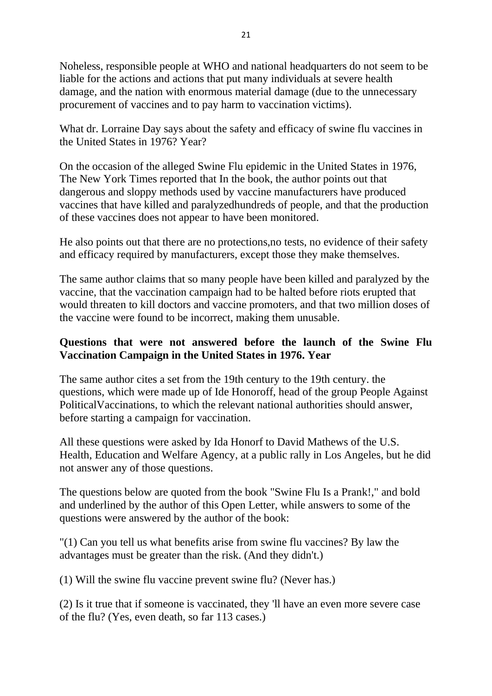Noheless, responsible people at WHO and national headquarters do not seem to be liable for the actions and actions that put many individuals at severe health damage, and the nation with enormous material damage (due to the unnecessary procurement of vaccines and to pay harm to vaccination victims).

What dr. Lorraine Day says about the safety and efficacy of swine flu vaccines in the United States in 1976? Year?

On the occasion of the alleged Swine Flu epidemic in the United States in 1976, The New York Times reported that In the book, the author points out that dangerous and sloppy methods used by vaccine manufacturers have produced vaccines that have killed and paralyzedhundreds of people, and that the production of these vaccines does not appear to have been monitored.

He also points out that there are no protections,no tests, no evidence of their safety and efficacy required by manufacturers, except those they make themselves.

The same author claims that so many people have been killed and paralyzed by the vaccine, that the vaccination campaign had to be halted before riots erupted that would threaten to kill doctors and vaccine promoters, and that two million doses of the vaccine were found to be incorrect, making them unusable.

### **Questions that were not answered before the launch of the Swine Flu Vaccination Campaign in the United States in 1976. Year**

The same author cites a set from the 19th century to the 19th century. the questions, which were made up of Ide Honoroff, head of the group People Against PoliticalVaccinations, to which the relevant national authorities should answer, before starting a campaign for vaccination.

All these questions were asked by Ida Honorf to David Mathews of the U.S. Health, Education and Welfare Agency, at a public rally in Los Angeles, but he did not answer any of those questions.

The questions below are quoted from the book "Swine Flu Is a Prank!," and bold and underlined by the author of this Open Letter, while answers to some of the questions were answered by the author of the book:

"(1) Can you tell us what benefits arise from swine flu vaccines? By law the advantages must be greater than the risk. (And they didn't.)

(1) Will the swine flu vaccine prevent swine flu? (Never has.)

(2) Is it true that if someone is vaccinated, they 'll have an even more severe case of the flu? (Yes, even death, so far 113 cases.)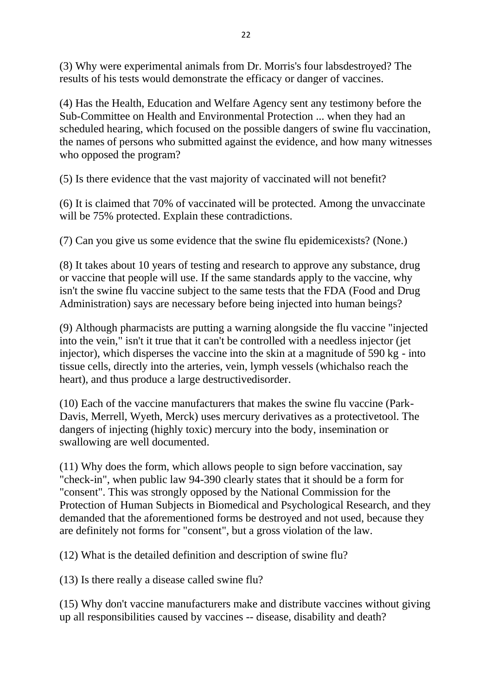(3) Why were experimental animals from Dr. Morris's four labsdestroyed? The results of his tests would demonstrate the efficacy or danger of vaccines.

(4) Has the Health, Education and Welfare Agency sent any testimony before the Sub-Committee on Health and Environmental Protection ... when they had an scheduled hearing, which focused on the possible dangers of swine flu vaccination, the names of persons who submitted against the evidence, and how many witnesses who opposed the program?

(5) Is there evidence that the vast majority of vaccinated will not benefit?

(6) It is claimed that 70% of vaccinated will be protected. Among the unvaccinate will be 75% protected. Explain these contradictions.

(7) Can you give us some evidence that the swine flu epidemicexists? (None.)

(8) It takes about 10 years of testing and research to approve any substance, drug or vaccine that people will use. If the same standards apply to the vaccine, why isn't the swine flu vaccine subject to the same tests that the FDA (Food and Drug Administration) says are necessary before being injected into human beings?

(9) Although pharmacists are putting a warning alongside the flu vaccine "injected into the vein," isn't it true that it can't be controlled with a needless injector (jet injector), which disperses the vaccine into the skin at a magnitude of 590 kg - into tissue cells, directly into the arteries, vein, lymph vessels (whichalso reach the heart), and thus produce a large destructivedisorder.

(10) Each of the vaccine manufacturers that makes the swine flu vaccine (Park-Davis, Merrell, Wyeth, Merck) uses mercury derivatives as a protectivetool. The dangers of injecting (highly toxic) mercury into the body, insemination or swallowing are well documented.

(11) Why does the form, which allows people to sign before vaccination, say "check-in", when public law 94-390 clearly states that it should be a form for "consent". This was strongly opposed by the National Commission for the Protection of Human Subjects in Biomedical and Psychological Research, and they demanded that the aforementioned forms be destroyed and not used, because they are definitely not forms for "consent", but a gross violation of the law.

(12) What is the detailed definition and description of swine flu?

(13) Is there really a disease called swine flu?

(15) Why don't vaccine manufacturers make and distribute vaccines without giving up all responsibilities caused by vaccines -- disease, disability and death?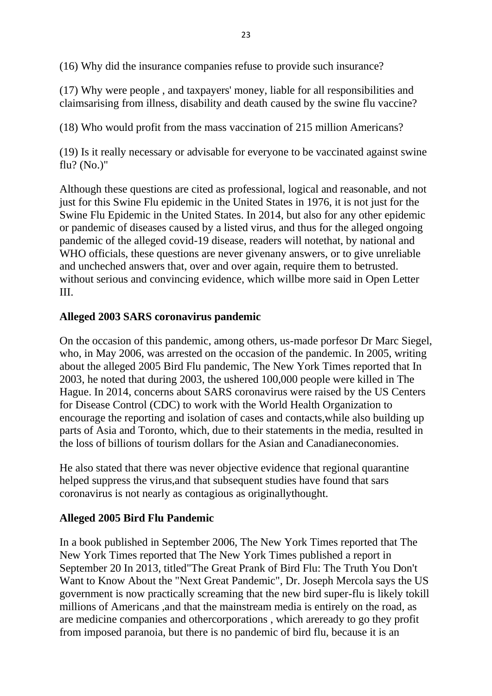(16) Why did the insurance companies refuse to provide such insurance?

(17) Why were people , and taxpayers' money, liable for all responsibilities and claimsarising from illness, disability and death caused by the swine flu vaccine?

(18) Who would profit from the mass vaccination of 215 million Americans?

(19) Is it really necessary or advisable for everyone to be vaccinated against swine flu? (No.)"

Although these questions are cited as professional, logical and reasonable, and not just for this Swine Flu epidemic in the United States in 1976, it is not just for the Swine Flu Epidemic in the United States. In 2014, but also for any other epidemic or pandemic of diseases caused by a listed virus, and thus for the alleged ongoing pandemic of the alleged covid-19 disease, readers will notethat, by national and WHO officials, these questions are never givenany answers, or to give unreliable and uncheched answers that, over and over again, require them to betrusted. without serious and convincing evidence, which willbe more said in Open Letter III.

#### **Alleged 2003 SARS coronavirus pandemic**

On the occasion of this pandemic, among others, us-made porfesor Dr Marc Siegel, who, in May 2006, was arrested on the occasion of the pandemic. In 2005, writing about the alleged 2005 Bird Flu pandemic, The New York Times reported that In 2003, he noted that during 2003, the ushered 100,000 people were killed in The Hague. In 2014, concerns about SARS coronavirus were raised by the US Centers for Disease Control (CDC) to work with the World Health Organization to encourage the reporting and isolation of cases and contacts,while also building up parts of Asia and Toronto, which, due to their statements in the media, resulted in the loss of billions of tourism dollars for the Asian and Canadianeconomies.

He also stated that there was never objective evidence that regional quarantine helped suppress the virus,and that subsequent studies have found that sars coronavirus is not nearly as contagious as originallythought.

### **Alleged 2005 Bird Flu Pandemic**

In a book published in September 2006, The New York Times reported that The New York Times reported that The New York Times published a report in September 20 In 2013, titled"The Great Prank of Bird Flu: The Truth You Don't Want to Know About the "Next Great Pandemic", Dr. Joseph Mercola says the US government is now practically screaming that the new bird super-flu is likely tokill millions of Americans ,and that the mainstream media is entirely on the road, as are medicine companies and othercorporations , which areready to go they profit from imposed paranoia, but there is no pandemic of bird flu, because it is an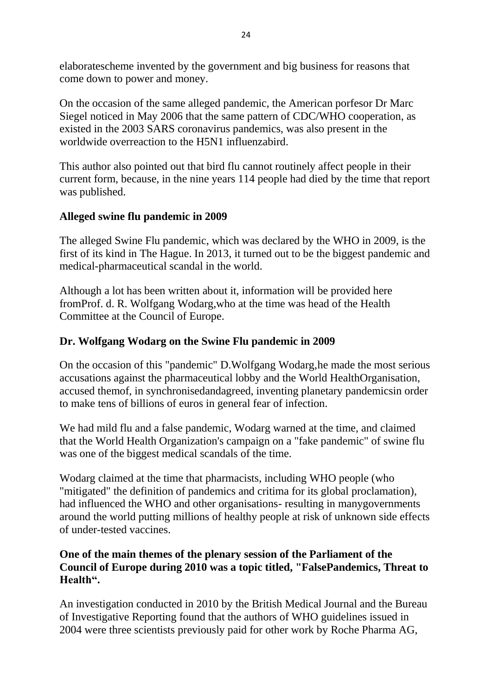elaboratescheme invented by the government and big business for reasons that come down to power and money.

On the occasion of the same alleged pandemic, the American porfesor Dr Marc Siegel noticed in May 2006 that the same pattern of CDC/WHO cooperation, as existed in the 2003 SARS coronavirus pandemics, was also present in the worldwide overreaction to the H5N1 influenzabird.

This author also pointed out that bird flu cannot routinely affect people in their current form, because, in the nine years 114 people had died by the time that report was published.

### **Alleged swine flu pandemic in 2009**

The alleged Swine Flu pandemic, which was declared by the WHO in 2009, is the first of its kind in The Hague. In 2013, it turned out to be the biggest pandemic and medical-pharmaceutical scandal in the world.

Although a lot has been written about it, information will be provided here fromProf. d. R. Wolfgang Wodarg,who at the time was head of the Health Committee at the Council of Europe.

### **Dr. Wolfgang Wodarg on the Swine Flu pandemic in 2009**

On the occasion of this "pandemic" D.Wolfgang Wodarg,he made the most serious accusations against the pharmaceutical lobby and the World HealthOrganisation, accused themof, in synchronisedandagreed, inventing planetary pandemicsin order to make tens of billions of euros in general fear of infection.

We had mild flu and a false pandemic, Wodarg warned at the time, and claimed that the World Health Organization's campaign on a "fake pandemic" of swine flu was one of the biggest medical scandals of the time.

Wodarg claimed at the time that pharmacists, including WHO people (who "mitigated" the definition of pandemics and critima for its global proclamation), had influenced the WHO and other organisations- resulting in manygovernments around the world putting millions of healthy people at risk of unknown side effects of under-tested vaccines.

### **One of the main themes of the plenary session of the Parliament of the Council of Europe during 2010 was a topic titled, "FalsePandemics, Threat to Health".**

An investigation conducted in 2010 by the British Medical Journal and the Bureau of Investigative Reporting found that the authors of WHO guidelines issued in 2004 were three scientists previously paid for other work by Roche Pharma AG,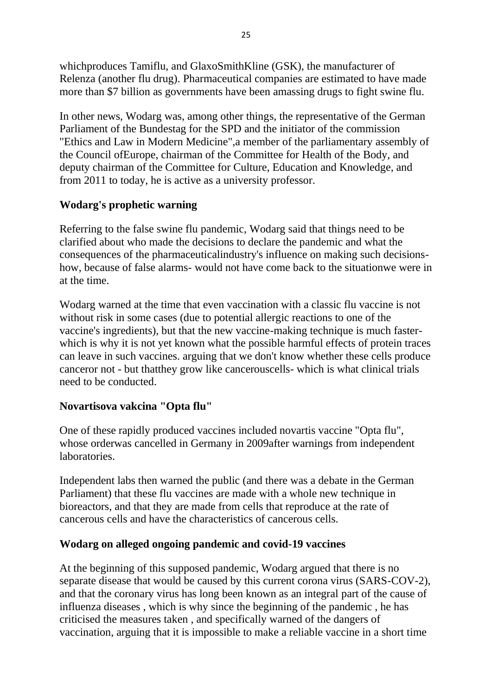whichproduces Tamiflu, and GlaxoSmithKline (GSK), the manufacturer of Relenza (another flu drug). Pharmaceutical companies are estimated to have made more than \$7 billion as governments have been amassing drugs to fight swine flu.

In other news, Wodarg was, among other things, the representative of the German Parliament of the Bundestag for the SPD and the initiator of the commission "Ethics and Law in Modern Medicine",a member of the parliamentary assembly of the Council ofEurope, chairman of the Committee for Health of the Body, and deputy chairman of the Committee for Culture, Education and Knowledge, and from 2011 to today, he is active as a university professor.

# **Wodarg's prophetic warning**

Referring to the false swine flu pandemic, Wodarg said that things need to be clarified about who made the decisions to declare the pandemic and what the consequences of the pharmaceuticalindustry's influence on making such decisionshow, because of false alarms- would not have come back to the situationwe were in at the time.

Wodarg warned at the time that even vaccination with a classic flu vaccine is not without risk in some cases (due to potential allergic reactions to one of the vaccine's ingredients), but that the new vaccine-making technique is much fasterwhich is why it is not yet known what the possible harmful effects of protein traces can leave in such vaccines. arguing that we don't know whether these cells produce canceror not - but thatthey grow like cancerouscells- which is what clinical trials need to be conducted.

# **Novartisova vakcina "Opta flu"**

One of these rapidly produced vaccines included novartis vaccine "Opta flu", whose orderwas cancelled in Germany in 2009after warnings from independent laboratories.

Independent labs then warned the public (and there was a debate in the German Parliament) that these flu vaccines are made with a whole new technique in bioreactors, and that they are made from cells that reproduce at the rate of cancerous cells and have the characteristics of cancerous cells.

### **Wodarg on alleged ongoing pandemic and covid-19 vaccines**

At the beginning of this supposed pandemic, Wodarg argued that there is no separate disease that would be caused by this current corona virus (SARS-COV-2), and that the coronary virus has long been known as an integral part of the cause of influenza diseases , which is why since the beginning of the pandemic , he has criticised the measures taken , and specifically warned of the dangers of vaccination, arguing that it is impossible to make a reliable vaccine in a short time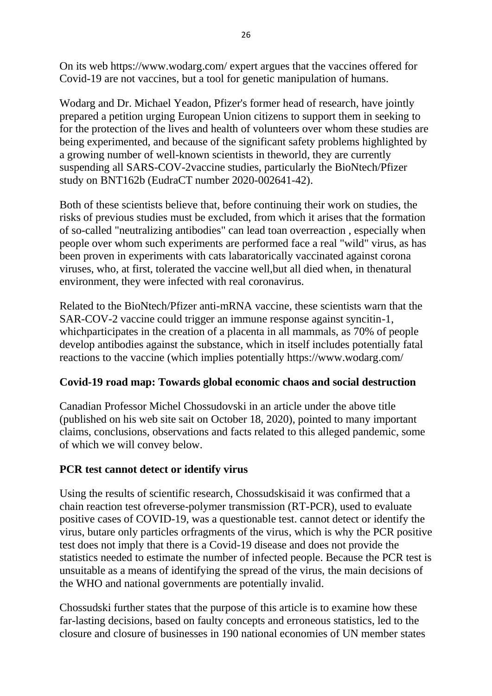On its web https://www.wodarg.com/ expert argues that the vaccines offered for Covid-19 are not vaccines, but a tool for genetic manipulation of humans.

Wodarg and Dr. Michael Yeadon, Pfizer's former head of research, have jointly prepared a petition urging European Union citizens to support them in seeking to for the protection of the lives and health of volunteers over whom these studies are being experimented, and because of the significant safety problems highlighted by a growing number of well-known scientists in theworld, they are currently suspending all SARS-COV-2vaccine studies, particularly the BioNtech/Pfizer study on BNT162b (EudraCT number 2020-002641-42).

Both of these scientists believe that, before continuing their work on studies, the risks of previous studies must be excluded, from which it arises that the formation of so-called "neutralizing antibodies" can lead toan overreaction , especially when people over whom such experiments are performed face a real "wild" virus, as has been proven in experiments with cats labaratorically vaccinated against corona viruses, who, at first, tolerated the vaccine well,but all died when, in thenatural environment, they were infected with real coronavirus.

Related to the BioNtech/Pfizer anti-mRNA vaccine, these scientists warn that the SAR-COV-2 vaccine could trigger an immune response against syncitin-1, whichparticipates in the creation of a placenta in all mammals, as 70% of people develop antibodies against the substance, which in itself includes potentially fatal reactions to the vaccine (which implies potentially https://www.wodarg.com/

### **Covid-19 road map: Towards global economic chaos and social destruction**

Canadian Professor Michel Chossudovski in an article under the above title (published on his web site sait on October 18, 2020), pointed to many important claims, conclusions, observations and facts related to this alleged pandemic, some of which we will convey below.

# **PCR test cannot detect or identify virus**

Using the results of scientific research, Chossudskisaid it was confirmed that a chain reaction test ofreverse-polymer transmission (RT-PCR), used to evaluate positive cases of COVID-19, was a questionable test. cannot detect or identify the virus, butare only particles orfragments of the virus, which is why the PCR positive test does not imply that there is a Covid-19 disease and does not provide the statistics needed to estimate the number of infected people. Because the PCR test is unsuitable as a means of identifying the spread of the virus, the main decisions of the WHO and national governments are potentially invalid.

Chossudski further states that the purpose of this article is to examine how these far-lasting decisions, based on faulty concepts and erroneous statistics, led to the closure and closure of businesses in 190 national economies of UN member states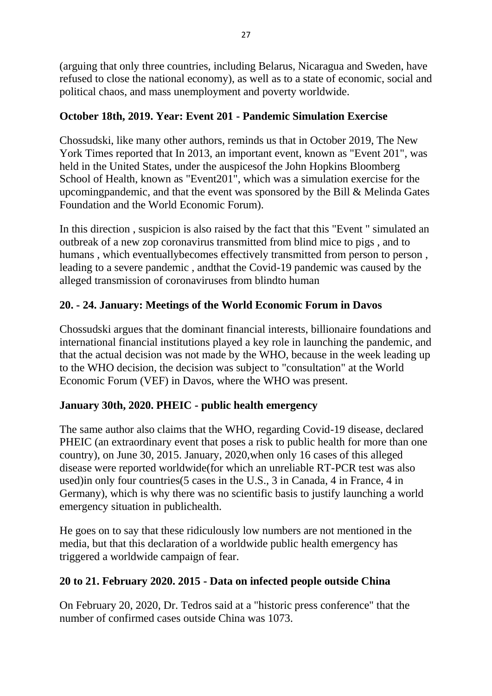(arguing that only three countries, including Belarus, Nicaragua and Sweden, have refused to close the national economy), as well as to a state of economic, social and political chaos, and mass unemployment and poverty worldwide.

# **October 18th, 2019. Year: Event 201 - Pandemic Simulation Exercise**

Chossudski, like many other authors, reminds us that in October 2019, The New York Times reported that In 2013, an important event, known as "Event 201", was held in the United States, under the auspicesof the John Hopkins Bloomberg School of Health, known as "Event201", which was a simulation exercise for the upcomingpandemic, and that the event was sponsored by the Bill & Melinda Gates Foundation and the World Economic Forum).

In this direction , suspicion is also raised by the fact that this "Event " simulated an outbreak of a new zop coronavirus transmitted from blind mice to pigs , and to humans, which eventually becomes effectively transmitted from person to person, leading to a severe pandemic , andthat the Covid-19 pandemic was caused by the alleged transmission of coronaviruses from blindto human

# **20. - 24. January: Meetings of the World Economic Forum in Davos**

Chossudski argues that the dominant financial interests, billionaire foundations and international financial institutions played a key role in launching the pandemic, and that the actual decision was not made by the WHO, because in the week leading up to the WHO decision, the decision was subject to "consultation" at the World Economic Forum (VEF) in Davos, where the WHO was present.

# **January 30th, 2020. PHEIC - public health emergency**

The same author also claims that the WHO, regarding Covid-19 disease, declared PHEIC (an extraordinary event that poses a risk to public health for more than one country), on June 30, 2015. January, 2020,when only 16 cases of this alleged disease were reported worldwide(for which an unreliable RT-PCR test was also used)in only four countries(5 cases in the U.S., 3 in Canada, 4 in France, 4 in Germany), which is why there was no scientific basis to justify launching a world emergency situation in publichealth.

He goes on to say that these ridiculously low numbers are not mentioned in the media, but that this declaration of a worldwide public health emergency has triggered a worldwide campaign of fear.

# **20 to 21. February 2020. 2015 - Data on infected people outside China**

On February 20, 2020, Dr. Tedros said at a "historic press conference" that the number of confirmed cases outside China was 1073.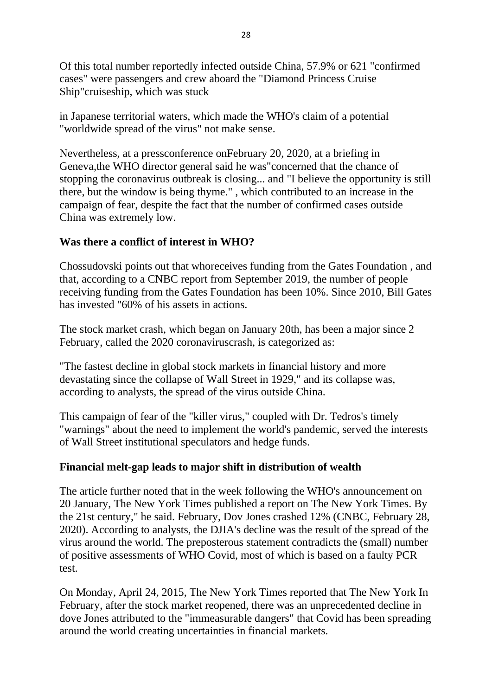Of this total number reportedly infected outside China, 57.9% or 621 "confirmed cases" were passengers and crew aboard the "Diamond Princess Cruise Ship"cruiseship, which was stuck

in Japanese territorial waters, which made the WHO's claim of a potential "worldwide spread of the virus" not make sense.

Nevertheless, at a pressconference onFebruary 20, 2020, at a briefing in Geneva,the WHO director general said he was"concerned that the chance of stopping the coronavirus outbreak is closing... and "I believe the opportunity is still there, but the window is being thyme." , which contributed to an increase in the campaign of fear, despite the fact that the number of confirmed cases outside China was extremely low.

### **Was there a conflict of interest in WHO?**

Chossudovski points out that whoreceives funding from the Gates Foundation , and that, according to a CNBC report from September 2019, the number of people receiving funding from the Gates Foundation has been 10%. Since 2010, Bill Gates has invested "60% of his assets in actions.

The stock market crash, which began on January 20th, has been a major since 2 February, called the 2020 coronaviruscrash, is categorized as:

"The fastest decline in global stock markets in financial history and more devastating since the collapse of Wall Street in 1929," and its collapse was, according to analysts, the spread of the virus outside China.

This campaign of fear of the "killer virus," coupled with Dr. Tedros's timely "warnings" about the need to implement the world's pandemic, served the interests of Wall Street institutional speculators and hedge funds.

### **Financial melt-gap leads to major shift in distribution of wealth**

The article further noted that in the week following the WHO's announcement on 20 January, The New York Times published a report on The New York Times. By the 21st century," he said. February, Dov Jones crashed 12% (CNBC, February 28, 2020). According to analysts, the DJIA's decline was the result of the spread of the virus around the world. The preposterous statement contradicts the (small) number of positive assessments of WHO Covid, most of which is based on a faulty PCR test.

On Monday, April 24, 2015, The New York Times reported that The New York In February, after the stock market reopened, there was an unprecedented decline in dove Jones attributed to the "immeasurable dangers" that Covid has been spreading around the world creating uncertainties in financial markets.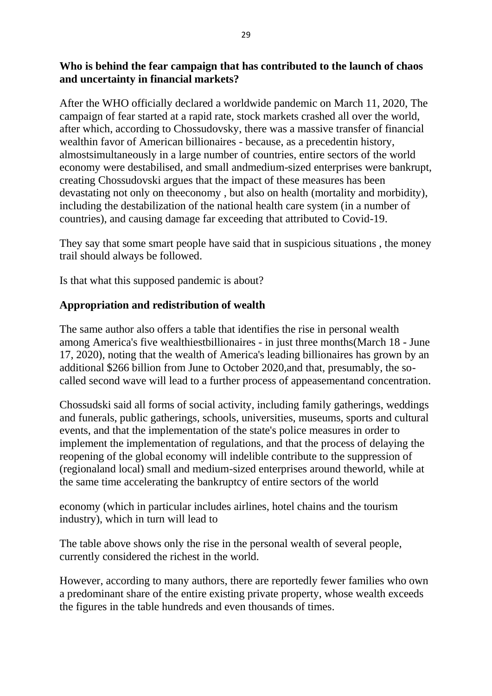### **Who is behind the fear campaign that has contributed to the launch of chaos and uncertainty in financial markets?**

After the WHO officially declared a worldwide pandemic on March 11, 2020, The campaign of fear started at a rapid rate, stock markets crashed all over the world, after which, according to Chossudovsky, there was a massive transfer of financial wealthin favor of American billionaires - because, as a precedentin history, almostsimultaneously in a large number of countries, entire sectors of the world economy were destabilised, and small andmedium-sized enterprises were bankrupt, creating Chossudovski argues that the impact of these measures has been devastating not only on theeconomy , but also on health (mortality and morbidity), including the destabilization of the national health care system (in a number of countries), and causing damage far exceeding that attributed to Covid-19.

They say that some smart people have said that in suspicious situations , the money trail should always be followed.

Is that what this supposed pandemic is about?

### **Appropriation and redistribution of wealth**

The same author also offers a table that identifies the rise in personal wealth among America's five wealthiestbillionaires - in just three months(March 18 - June 17, 2020), noting that the wealth of America's leading billionaires has grown by an additional \$266 billion from June to October 2020,and that, presumably, the socalled second wave will lead to a further process of appeasementand concentration.

Chossudski said all forms of social activity, including family gatherings, weddings and funerals, public gatherings, schools, universities, museums, sports and cultural events, and that the implementation of the state's police measures in order to implement the implementation of regulations, and that the process of delaying the reopening of the global economy will indelible contribute to the suppression of (regionaland local) small and medium-sized enterprises around theworld, while at the same time accelerating the bankruptcy of entire sectors of the world

economy (which in particular includes airlines, hotel chains and the tourism industry), which in turn will lead to

The table above shows only the rise in the personal wealth of several people, currently considered the richest in the world.

However, according to many authors, there are reportedly fewer families who own a predominant share of the entire existing private property, whose wealth exceeds the figures in the table hundreds and even thousands of times.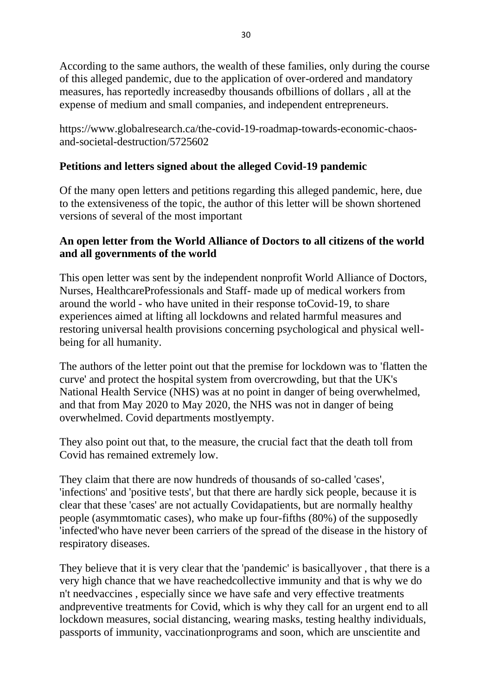According to the same authors, the wealth of these families, only during the course of this alleged pandemic, due to the application of over-ordered and mandatory measures, has reportedly increasedby thousands ofbillions of dollars , all at the expense of medium and small companies, and independent entrepreneurs.

https://www.globalresearch.ca/the-covid-19-roadmap-towards-economic-chaosand-societal-destruction/5725602

### **Petitions and letters signed about the alleged Covid-19 pandemic**

Of the many open letters and petitions regarding this alleged pandemic, here, due to the extensiveness of the topic, the author of this letter will be shown shortened versions of several of the most important

#### **An open letter from the World Alliance of Doctors to all citizens of the world and all governments of the world**

This open letter was sent by the independent nonprofit World Alliance of Doctors, Nurses, HealthcareProfessionals and Staff- made up of medical workers from around the world - who have united in their response toCovid-19, to share experiences aimed at lifting all lockdowns and related harmful measures and restoring universal health provisions concerning psychological and physical wellbeing for all humanity.

The authors of the letter point out that the premise for lockdown was to 'flatten the curve' and protect the hospital system from overcrowding, but that the UK's National Health Service (NHS) was at no point in danger of being overwhelmed, and that from May 2020 to May 2020, the NHS was not in danger of being overwhelmed. Covid departments mostlyempty.

They also point out that, to the measure, the crucial fact that the death toll from Covid has remained extremely low.

They claim that there are now hundreds of thousands of so-called 'cases', 'infections' and 'positive tests', but that there are hardly sick people, because it is clear that these 'cases' are not actually Covidapatients, but are normally healthy people (asymmtomatic cases), who make up four-fifths (80%) of the supposedly 'infected'who have never been carriers of the spread of the disease in the history of respiratory diseases.

They believe that it is very clear that the 'pandemic' is basicallyover , that there is a very high chance that we have reachedcollective immunity and that is why we do n't needvaccines , especially since we have safe and very effective treatments andpreventive treatments for Covid, which is why they call for an urgent end to all lockdown measures, social distancing, wearing masks, testing healthy individuals, passports of immunity, vaccinationprograms and soon, which are unscientite and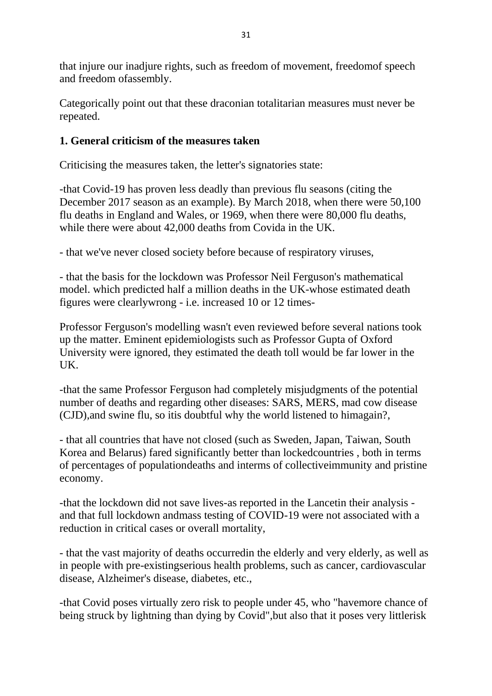that injure our inadjure rights, such as freedom of movement, freedomof speech and freedom ofassembly.

Categorically point out that these draconian totalitarian measures must never be repeated.

### **1. General criticism of the measures taken**

Criticising the measures taken, the letter's signatories state:

-that Covid-19 has proven less deadly than previous flu seasons (citing the December 2017 season as an example). By March 2018, when there were 50,100 flu deaths in England and Wales, or 1969, when there were 80,000 flu deaths, while there were about 42,000 deaths from Covida in the UK.

- that we've never closed society before because of respiratory viruses,

- that the basis for the lockdown was Professor Neil Ferguson's mathematical model. which predicted half a million deaths in the UK-whose estimated death figures were clearlywrong - i.e. increased 10 or 12 times-

Professor Ferguson's modelling wasn't even reviewed before several nations took up the matter. Eminent epidemiologists such as Professor Gupta of Oxford University were ignored, they estimated the death toll would be far lower in the UK.

-that the same Professor Ferguson had completely misjudgments of the potential number of deaths and regarding other diseases: SARS, MERS, mad cow disease (CJD),and swine flu, so itis doubtful why the world listened to himagain?,

- that all countries that have not closed (such as Sweden, Japan, Taiwan, South Korea and Belarus) fared significantly better than lockedcountries , both in terms of percentages of populationdeaths and interms of collectiveimmunity and pristine economy.

-that the lockdown did not save lives-as reported in the Lancetin their analysis and that full lockdown andmass testing of COVID-19 were not associated with a reduction in critical cases or overall mortality,

- that the vast majority of deaths occurredin the elderly and very elderly, as well as in people with pre-existingserious health problems, such as cancer, cardiovascular disease, Alzheimer's disease, diabetes, etc.,

-that Covid poses virtually zero risk to people under 45, who "havemore chance of being struck by lightning than dying by Covid",but also that it poses very littlerisk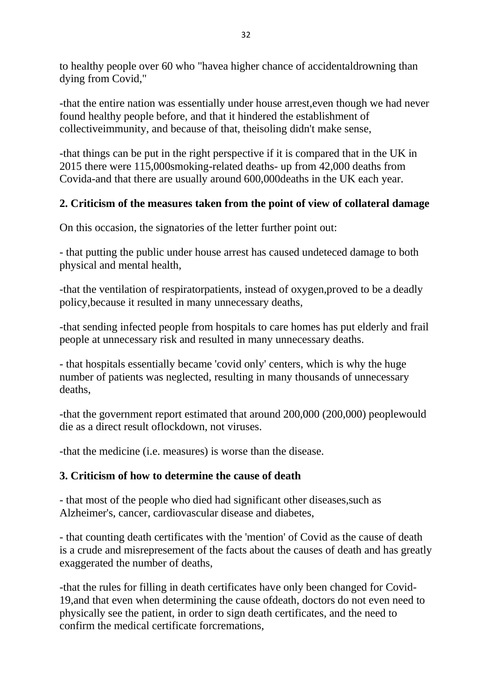to healthy people over 60 who "havea higher chance of accidentaldrowning than dying from Covid,"

-that the entire nation was essentially under house arrest,even though we had never found healthy people before, and that it hindered the establishment of collectiveimmunity, and because of that, theisoling didn't make sense,

-that things can be put in the right perspective if it is compared that in the UK in 2015 there were 115,000smoking-related deaths- up from 42,000 deaths from Covida-and that there are usually around 600,000deaths in the UK each year.

# **2. Criticism of the measures taken from the point of view of collateral damage**

On this occasion, the signatories of the letter further point out:

- that putting the public under house arrest has caused undeteced damage to both physical and mental health,

-that the ventilation of respiratorpatients, instead of oxygen,proved to be a deadly policy,because it resulted in many unnecessary deaths,

-that sending infected people from hospitals to care homes has put elderly and frail people at unnecessary risk and resulted in many unnecessary deaths.

- that hospitals essentially became 'covid only' centers, which is why the huge number of patients was neglected, resulting in many thousands of unnecessary deaths,

-that the government report estimated that around 200,000 (200,000) peoplewould die as a direct result oflockdown, not viruses.

-that the medicine (i.e. measures) is worse than the disease.

### **3. Criticism of how to determine the cause of death**

- that most of the people who died had significant other diseases,such as Alzheimer's, cancer, cardiovascular disease and diabetes,

- that counting death certificates with the 'mention' of Covid as the cause of death is a crude and misrepresement of the facts about the causes of death and has greatly exaggerated the number of deaths,

-that the rules for filling in death certificates have only been changed for Covid-19,and that even when determining the cause ofdeath, doctors do not even need to physically see the patient, in order to sign death certificates, and the need to confirm the medical certificate forcremations,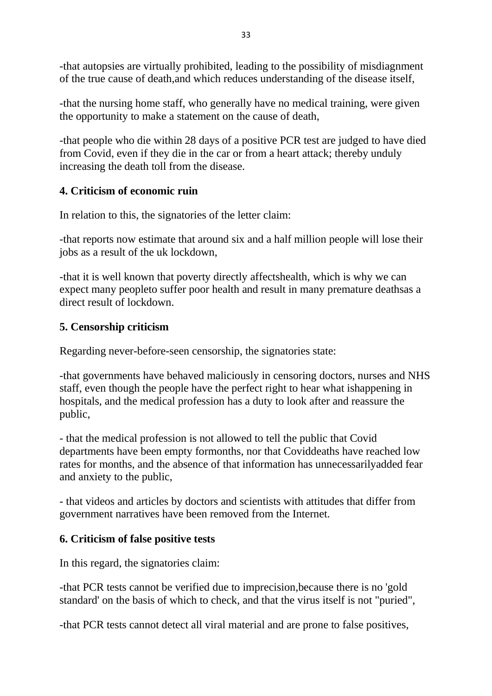-that autopsies are virtually prohibited, leading to the possibility of misdiagnment of the true cause of death,and which reduces understanding of the disease itself,

-that the nursing home staff, who generally have no medical training, were given the opportunity to make a statement on the cause of death,

-that people who die within 28 days of a positive PCR test are judged to have died from Covid, even if they die in the car or from a heart attack; thereby unduly increasing the death toll from the disease.

# **4. Criticism of economic ruin**

In relation to this, the signatories of the letter claim:

-that reports now estimate that around six and a half million people will lose their jobs as a result of the uk lockdown,

-that it is well known that poverty directly affectshealth, which is why we can expect many peopleto suffer poor health and result in many premature deathsas a direct result of lockdown.

### **5. Censorship criticism**

Regarding never-before-seen censorship, the signatories state:

-that governments have behaved maliciously in censoring doctors, nurses and NHS staff, even though the people have the perfect right to hear what ishappening in hospitals, and the medical profession has a duty to look after and reassure the public,

- that the medical profession is not allowed to tell the public that Covid departments have been empty formonths, nor that Coviddeaths have reached low rates for months, and the absence of that information has unnecessarilyadded fear and anxiety to the public,

- that videos and articles by doctors and scientists with attitudes that differ from government narratives have been removed from the Internet.

### **6. Criticism of false positive tests**

In this regard, the signatories claim:

-that PCR tests cannot be verified due to imprecision,because there is no 'gold standard' on the basis of which to check, and that the virus itself is not "puried",

-that PCR tests cannot detect all viral material and are prone to false positives,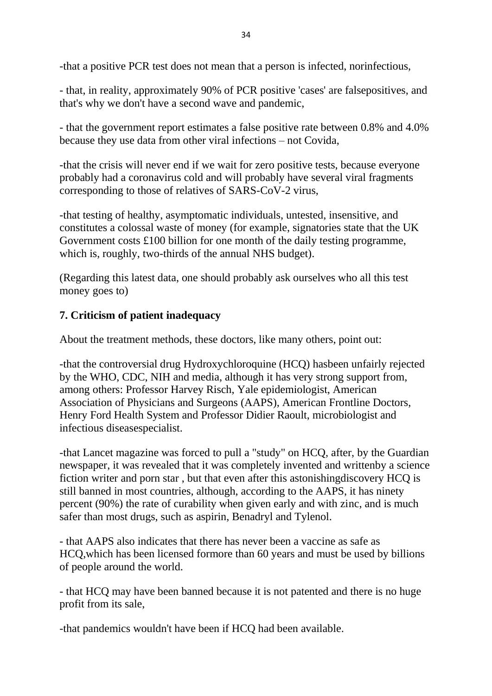-that a positive PCR test does not mean that a person is infected, norinfectious,

- that, in reality, approximately 90% of PCR positive 'cases' are falsepositives, and that's why we don't have a second wave and pandemic,

- that the government report estimates a false positive rate between 0.8% and 4.0% because they use data from other viral infections – not Covida,

-that the crisis will never end if we wait for zero positive tests, because everyone probably had a coronavirus cold and will probably have several viral fragments corresponding to those of relatives of SARS-CoV-2 virus,

-that testing of healthy, asymptomatic individuals, untested, insensitive, and constitutes a colossal waste of money (for example, signatories state that the UK Government costs £100 billion for one month of the daily testing programme, which is, roughly, two-thirds of the annual NHS budget).

(Regarding this latest data, one should probably ask ourselves who all this test money goes to)

### **7. Criticism of patient inadequacy**

About the treatment methods, these doctors, like many others, point out:

-that the controversial drug Hydroxychloroquine (HCQ) hasbeen unfairly rejected by the WHO, CDC, NIH and media, although it has very strong support from, among others: Professor Harvey Risch, Yale epidemiologist, American Association of Physicians and Surgeons (AAPS), American Frontline Doctors, Henry Ford Health System and Professor Didier Raoult, microbiologist and infectious diseasespecialist.

-that Lancet magazine was forced to pull a "study" on HCQ, after, by the Guardian newspaper, it was revealed that it was completely invented and writtenby a science fiction writer and porn star , but that even after this astonishingdiscovery HCQ is still banned in most countries, although, according to the AAPS, it has ninety percent (90%) the rate of curability when given early and with zinc, and is much safer than most drugs, such as aspirin, Benadryl and Tylenol.

- that AAPS also indicates that there has never been a vaccine as safe as HCQ,which has been licensed formore than 60 years and must be used by billions of people around the world.

- that HCQ may have been banned because it is not patented and there is no huge profit from its sale,

-that pandemics wouldn't have been if HCQ had been available.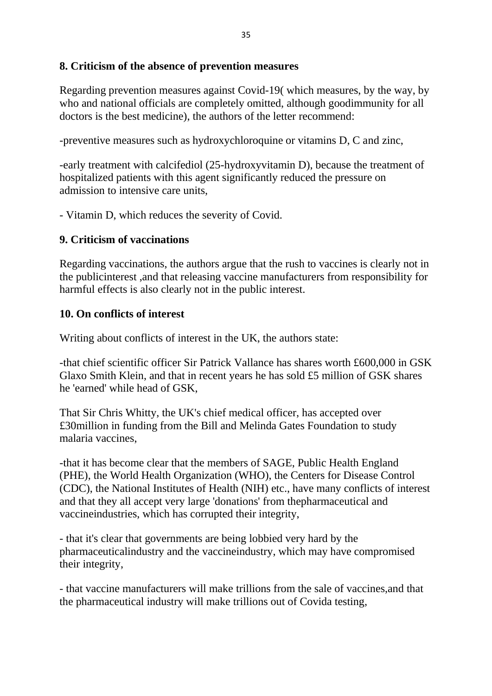#### **8. Criticism of the absence of prevention measures**

Regarding prevention measures against Covid-19( which measures, by the way, by who and national officials are completely omitted, although goodimmunity for all doctors is the best medicine), the authors of the letter recommend:

-preventive measures such as hydroxychloroquine or vitamins D, C and zinc,

-early treatment with calcifediol (25-hydroxyvitamin D), because the treatment of hospitalized patients with this agent significantly reduced the pressure on admission to intensive care units,

- Vitamin D, which reduces the severity of Covid.

#### **9. Criticism of vaccinations**

Regarding vaccinations, the authors argue that the rush to vaccines is clearly not in the publicinterest ,and that releasing vaccine manufacturers from responsibility for harmful effects is also clearly not in the public interest.

#### **10. On conflicts of interest**

Writing about conflicts of interest in the UK, the authors state:

-that chief scientific officer Sir Patrick Vallance has shares worth £600,000 in GSK Glaxo Smith Klein, and that in recent years he has sold £5 million of GSK shares he 'earned' while head of GSK,

That Sir Chris Whitty, the UK's chief medical officer, has accepted over £30million in funding from the Bill and Melinda Gates Foundation to study malaria vaccines,

-that it has become clear that the members of SAGE, Public Health England (PHE), the World Health Organization (WHO), the Centers for Disease Control (CDC), the National Institutes of Health (NIH) etc., have many conflicts of interest and that they all accept very large 'donations' from thepharmaceutical and vaccineindustries, which has corrupted their integrity,

- that it's clear that governments are being lobbied very hard by the pharmaceuticalindustry and the vaccineindustry, which may have compromised their integrity,

- that vaccine manufacturers will make trillions from the sale of vaccines,and that the pharmaceutical industry will make trillions out of Covida testing,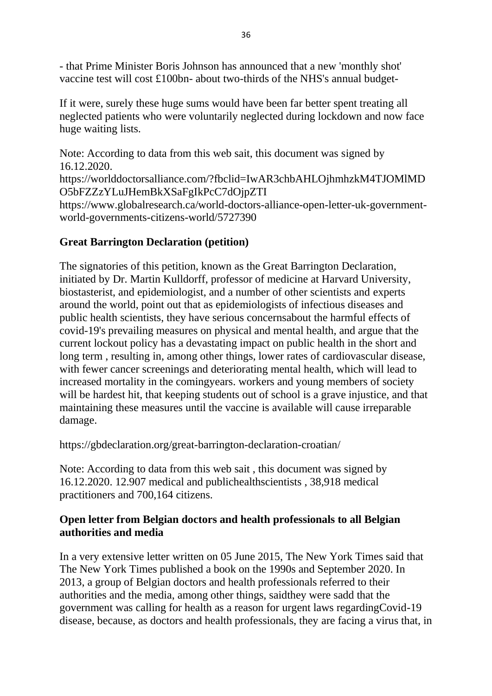- that Prime Minister Boris Johnson has announced that a new 'monthly shot' vaccine test will cost £100bn- about two-thirds of the NHS's annual budget-

If it were, surely these huge sums would have been far better spent treating all neglected patients who were voluntarily neglected during lockdown and now face huge waiting lists.

Note: According to data from this web sait, this document was signed by 16.12.2020. https://worlddoctorsalliance.com/?fbclid=IwAR3chbAHLOjhmhzkM4TJOMlMD O5bFZZzYLuJHemBkXSaFgIkPcC7dOjpZTI https://www.globalresearch.ca/world-doctors-alliance-open-letter-uk-governmentworld-governments-citizens-world/5727390

# **Great Barrington Declaration (petition)**

The signatories of this petition, known as the Great Barrington Declaration, initiated by Dr. Martin Kulldorff, professor of medicine at Harvard University, biostasterist, and epidemiologist, and a number of other scientists and experts around the world, point out that as epidemiologists of infectious diseases and public health scientists, they have serious concernsabout the harmful effects of covid-19's prevailing measures on physical and mental health, and argue that the current lockout policy has a devastating impact on public health in the short and long term , resulting in, among other things, lower rates of cardiovascular disease, with fewer cancer screenings and deteriorating mental health, which will lead to increased mortality in the comingyears. workers and young members of society will be hardest hit, that keeping students out of school is a grave injustice, and that maintaining these measures until the vaccine is available will cause irreparable damage.

https://gbdeclaration.org/great-barrington-declaration-croatian/

Note: According to data from this web sait , this document was signed by 16.12.2020. 12.907 medical and publichealthscientists , 38,918 medical practitioners and 700,164 citizens.

#### **Open letter from Belgian doctors and health professionals to all Belgian authorities and media**

In a very extensive letter written on 05 June 2015, The New York Times said that The New York Times published a book on the 1990s and September 2020. In 2013, a group of Belgian doctors and health professionals referred to their authorities and the media, among other things, saidthey were sadd that the government was calling for health as a reason for urgent laws regardingCovid-19 disease, because, as doctors and health professionals, they are facing a virus that, in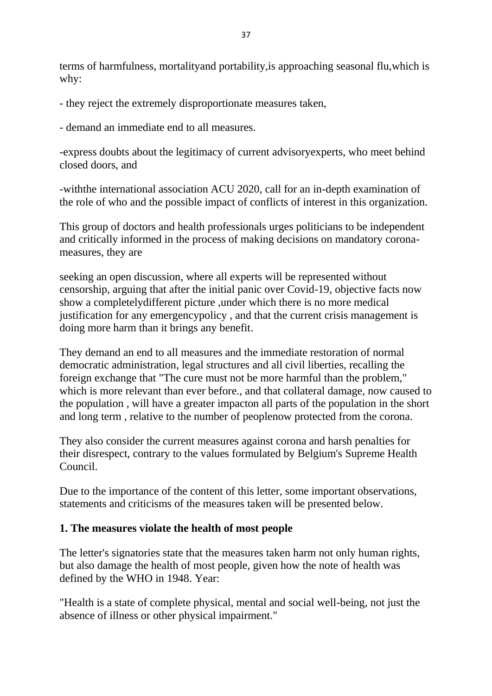terms of harmfulness, mortalityand portability,is approaching seasonal flu,which is why:

- they reject the extremely disproportionate measures taken,

- demand an immediate end to all measures.

-express doubts about the legitimacy of current advisoryexperts, who meet behind closed doors, and

-withthe international association ACU 2020, call for an in-depth examination of the role of who and the possible impact of conflicts of interest in this organization.

This group of doctors and health professionals urges politicians to be independent and critically informed in the process of making decisions on mandatory coronameasures, they are

seeking an open discussion, where all experts will be represented without censorship, arguing that after the initial panic over Covid-19, objective facts now show a completelydifferent picture ,under which there is no more medical justification for any emergencypolicy , and that the current crisis management is doing more harm than it brings any benefit.

They demand an end to all measures and the immediate restoration of normal democratic administration, legal structures and all civil liberties, recalling the foreign exchange that "The cure must not be more harmful than the problem," which is more relevant than ever before., and that collateral damage, now caused to the population , will have a greater impacton all parts of the population in the short and long term , relative to the number of peoplenow protected from the corona.

They also consider the current measures against corona and harsh penalties for their disrespect, contrary to the values formulated by Belgium's Supreme Health Council.

Due to the importance of the content of this letter, some important observations, statements and criticisms of the measures taken will be presented below.

#### **1. The measures violate the health of most people**

The letter's signatories state that the measures taken harm not only human rights, but also damage the health of most people, given how the note of health was defined by the WHO in 1948. Year:

"Health is a state of complete physical, mental and social well-being, not just the absence of illness or other physical impairment."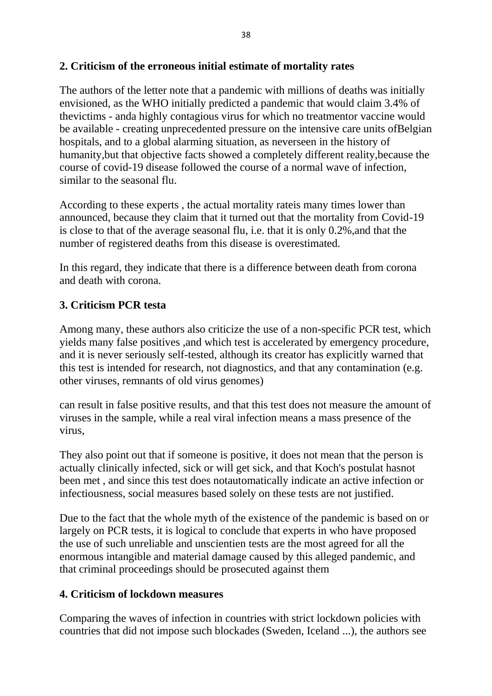#### **2. Criticism of the erroneous initial estimate of mortality rates**

The authors of the letter note that a pandemic with millions of deaths was initially envisioned, as the WHO initially predicted a pandemic that would claim 3.4% of thevictims - anda highly contagious virus for which no treatmentor vaccine would be available - creating unprecedented pressure on the intensive care units ofBelgian hospitals, and to a global alarming situation, as neverseen in the history of humanity,but that objective facts showed a completely different reality,because the course of covid-19 disease followed the course of a normal wave of infection, similar to the seasonal flu.

According to these experts , the actual mortality rateis many times lower than announced, because they claim that it turned out that the mortality from Covid-19 is close to that of the average seasonal flu, i.e. that it is only 0.2%,and that the number of registered deaths from this disease is overestimated.

In this regard, they indicate that there is a difference between death from corona and death with corona.

### **3. Criticism PCR testa**

Among many, these authors also criticize the use of a non-specific PCR test, which yields many false positives ,and which test is accelerated by emergency procedure, and it is never seriously self-tested, although its creator has explicitly warned that this test is intended for research, not diagnostics, and that any contamination (e.g. other viruses, remnants of old virus genomes)

can result in false positive results, and that this test does not measure the amount of viruses in the sample, while a real viral infection means a mass presence of the virus,

They also point out that if someone is positive, it does not mean that the person is actually clinically infected, sick or will get sick, and that Koch's postulat hasnot been met , and since this test does notautomatically indicate an active infection or infectiousness, social measures based solely on these tests are not justified.

Due to the fact that the whole myth of the existence of the pandemic is based on or largely on PCR tests, it is logical to conclude that experts in who have proposed the use of such unreliable and unscientien tests are the most agreed for all the enormous intangible and material damage caused by this alleged pandemic, and that criminal proceedings should be prosecuted against them

#### **4. Criticism of lockdown measures**

Comparing the waves of infection in countries with strict lockdown policies with countries that did not impose such blockades (Sweden, Iceland ...), the authors see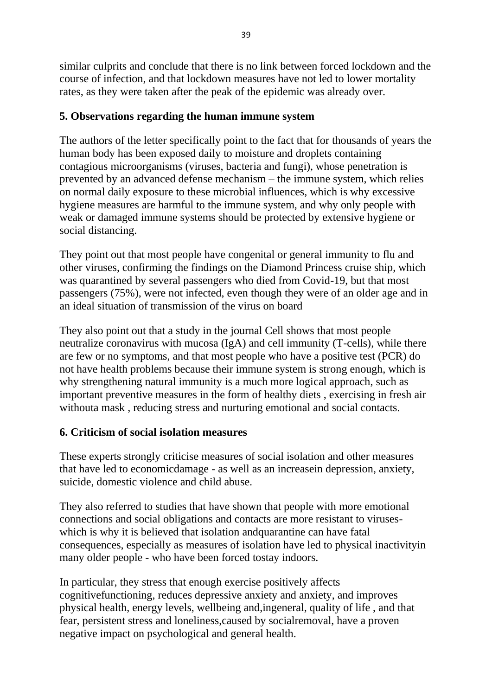similar culprits and conclude that there is no link between forced lockdown and the course of infection, and that lockdown measures have not led to lower mortality rates, as they were taken after the peak of the epidemic was already over.

# **5. Observations regarding the human immune system**

The authors of the letter specifically point to the fact that for thousands of years the human body has been exposed daily to moisture and droplets containing contagious microorganisms (viruses, bacteria and fungi), whose penetration is prevented by an advanced defense mechanism – the immune system, which relies on normal daily exposure to these microbial influences, which is why excessive hygiene measures are harmful to the immune system, and why only people with weak or damaged immune systems should be protected by extensive hygiene or social distancing.

They point out that most people have congenital or general immunity to flu and other viruses, confirming the findings on the Diamond Princess cruise ship, which was quarantined by several passengers who died from Covid-19, but that most passengers (75%), were not infected, even though they were of an older age and in an ideal situation of transmission of the virus on board

They also point out that a study in the journal Cell shows that most people neutralize coronavirus with mucosa (IgA) and cell immunity (T-cells), while there are few or no symptoms, and that most people who have a positive test (PCR) do not have health problems because their immune system is strong enough, which is why strengthening natural immunity is a much more logical approach, such as important preventive measures in the form of healthy diets , exercising in fresh air withouta mask , reducing stress and nurturing emotional and social contacts.

# **6. Criticism of social isolation measures**

These experts strongly criticise measures of social isolation and other measures that have led to economicdamage - as well as an increasein depression, anxiety, suicide, domestic violence and child abuse.

They also referred to studies that have shown that people with more emotional connections and social obligations and contacts are more resistant to viruseswhich is why it is believed that isolation andquarantine can have fatal consequences, especially as measures of isolation have led to physical inactivityin many older people - who have been forced tostay indoors.

In particular, they stress that enough exercise positively affects cognitivefunctioning, reduces depressive anxiety and anxiety, and improves physical health, energy levels, wellbeing and,ingeneral, quality of life , and that fear, persistent stress and loneliness,caused by socialremoval, have a proven negative impact on psychological and general health.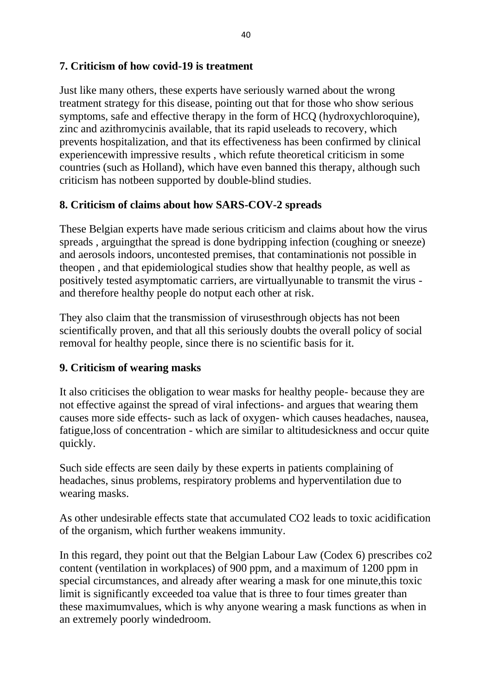### **7. Criticism of how covid-19 is treatment**

Just like many others, these experts have seriously warned about the wrong treatment strategy for this disease, pointing out that for those who show serious symptoms, safe and effective therapy in the form of HCQ (hydroxychloroquine), zinc and azithromycinis available, that its rapid useleads to recovery, which prevents hospitalization, and that its effectiveness has been confirmed by clinical experiencewith impressive results , which refute theoretical criticism in some countries (such as Holland), which have even banned this therapy, although such criticism has notbeen supported by double-blind studies.

#### **8. Criticism of claims about how SARS-COV-2 spreads**

These Belgian experts have made serious criticism and claims about how the virus spreads , arguingthat the spread is done bydripping infection (coughing or sneeze) and aerosols indoors, uncontested premises, that contaminationis not possible in theopen , and that epidemiological studies show that healthy people, as well as positively tested asymptomatic carriers, are virtuallyunable to transmit the virus and therefore healthy people do notput each other at risk.

They also claim that the transmission of virusesthrough objects has not been scientifically proven, and that all this seriously doubts the overall policy of social removal for healthy people, since there is no scientific basis for it.

#### **9. Criticism of wearing masks**

It also criticises the obligation to wear masks for healthy people- because they are not effective against the spread of viral infections- and argues that wearing them causes more side effects- such as lack of oxygen- which causes headaches, nausea, fatigue,loss of concentration - which are similar to altitudesickness and occur quite quickly.

Such side effects are seen daily by these experts in patients complaining of headaches, sinus problems, respiratory problems and hyperventilation due to wearing masks.

As other undesirable effects state that accumulated CO2 leads to toxic acidification of the organism, which further weakens immunity.

In this regard, they point out that the Belgian Labour Law (Codex 6) prescribes co2 content (ventilation in workplaces) of 900 ppm, and a maximum of 1200 ppm in special circumstances, and already after wearing a mask for one minute,this toxic limit is significantly exceeded toa value that is three to four times greater than these maximumvalues, which is why anyone wearing a mask functions as when in an extremely poorly windedroom.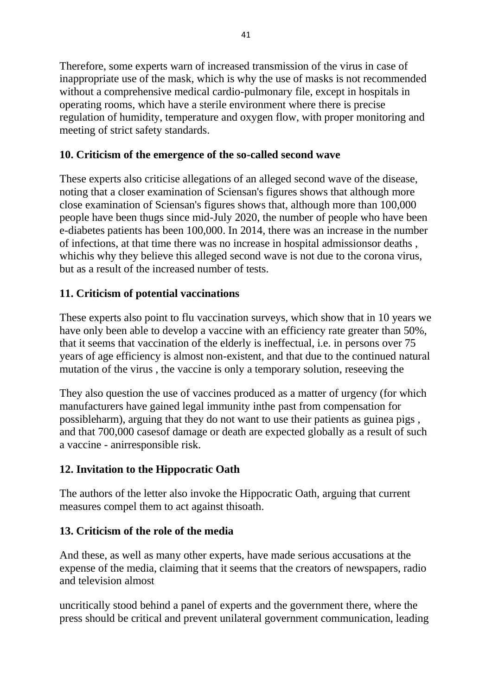Therefore, some experts warn of increased transmission of the virus in case of inappropriate use of the mask, which is why the use of masks is not recommended without a comprehensive medical cardio-pulmonary file, except in hospitals in operating rooms, which have a sterile environment where there is precise regulation of humidity, temperature and oxygen flow, with proper monitoring and meeting of strict safety standards.

# **10. Criticism of the emergence of the so-called second wave**

These experts also criticise allegations of an alleged second wave of the disease, noting that a closer examination of Sciensan's figures shows that although more close examination of Sciensan's figures shows that, although more than 100,000 people have been thugs since mid-July 2020, the number of people who have been e-diabetes patients has been 100,000. In 2014, there was an increase in the number of infections, at that time there was no increase in hospital admissionsor deaths , whichis why they believe this alleged second wave is not due to the corona virus, but as a result of the increased number of tests.

# **11. Criticism of potential vaccinations**

These experts also point to flu vaccination surveys, which show that in 10 years we have only been able to develop a vaccine with an efficiency rate greater than 50%, that it seems that vaccination of the elderly is ineffectual, i.e. in persons over 75 years of age efficiency is almost non-existent, and that due to the continued natural mutation of the virus , the vaccine is only a temporary solution, reseeving the

They also question the use of vaccines produced as a matter of urgency (for which manufacturers have gained legal immunity inthe past from compensation for possibleharm), arguing that they do not want to use their patients as guinea pigs , and that 700,000 casesof damage or death are expected globally as a result of such a vaccine - anirresponsible risk.

# **12. Invitation to the Hippocratic Oath**

The authors of the letter also invoke the Hippocratic Oath, arguing that current measures compel them to act against thisoath.

### **13. Criticism of the role of the media**

And these, as well as many other experts, have made serious accusations at the expense of the media, claiming that it seems that the creators of newspapers, radio and television almost

uncritically stood behind a panel of experts and the government there, where the press should be critical and prevent unilateral government communication, leading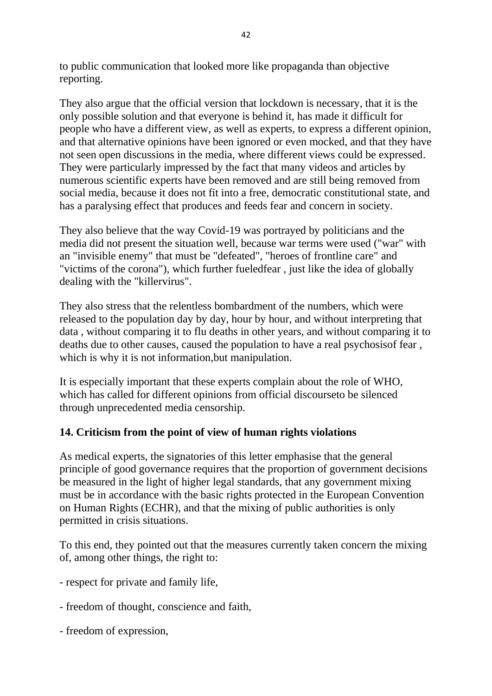to public communication that looked more like propaganda than objective reporting.

They also argue that the official version that lockdown is necessary, that it is the only possible solution and that everyone is behind it, has made it difficult for people who have a different view, as well as experts, to express a different opinion, and that alternative opinions have been ignored or even mocked, and that they have not seen open discussions in the media, where different views could be expressed. They were particularly impressed by the fact that many videos and articles by numerous scientific experts have been removed and are still being removed from social media, because it does not fit into a free, democratic constitutional state, and has a paralysing effect that produces and feeds fear and concern in society.

They also believe that the way Covid-19 was portrayed by politicians and the media did not present the situation well, because war terms were used ("war" with an "invisible enemy" that must be "defeated", "heroes of frontline care" and "victims of the corona"), which further fueledfear , just like the idea of globally dealing with the "killervirus".

They also stress that the relentless bombardment of the numbers, which were released to the population day by day, hour by hour, and without interpreting that data , without comparing it to flu deaths in other years, and without comparing it to deaths due to other causes, caused the population to have a real psychosisof fear , which is why it is not information, but manipulation.

It is especially important that these experts complain about the role of WHO, which has called for different opinions from official discourseto be silenced through unprecedented media censorship.

### **14. Criticism from the point of view of human rights violations**

As medical experts, the signatories of this letter emphasise that the general principle of good governance requires that the proportion of government decisions be measured in the light of higher legal standards, that any government mixing must be in accordance with the basic rights protected in the European Convention on Human Rights (ECHR), and that the mixing of public authorities is only permitted in crisis situations.

To this end, they pointed out that the measures currently taken concern the mixing of, among other things, the right to:

- respect for private and family life,
- freedom of thought, conscience and faith,
- freedom of expression,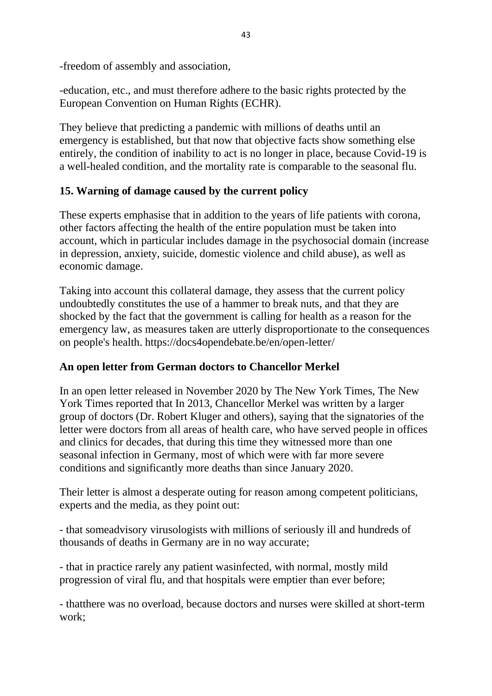-freedom of assembly and association,

-education, etc., and must therefore adhere to the basic rights protected by the European Convention on Human Rights (ECHR).

They believe that predicting a pandemic with millions of deaths until an emergency is established, but that now that objective facts show something else entirely, the condition of inability to act is no longer in place, because Covid-19 is a well-healed condition, and the mortality rate is comparable to the seasonal flu.

# **15. Warning of damage caused by the current policy**

These experts emphasise that in addition to the years of life patients with corona, other factors affecting the health of the entire population must be taken into account, which in particular includes damage in the psychosocial domain (increase in depression, anxiety, suicide, domestic violence and child abuse), as well as economic damage.

Taking into account this collateral damage, they assess that the current policy undoubtedly constitutes the use of a hammer to break nuts, and that they are shocked by the fact that the government is calling for health as a reason for the emergency law, as measures taken are utterly disproportionate to the consequences on people's health. https://docs4opendebate.be/en/open-letter/

### **An open letter from German doctors to Chancellor Merkel**

In an open letter released in November 2020 by The New York Times, The New York Times reported that In 2013, Chancellor Merkel was written by a larger group of doctors (Dr. Robert Kluger and others), saying that the signatories of the letter were doctors from all areas of health care, who have served people in offices and clinics for decades, that during this time they witnessed more than one seasonal infection in Germany, most of which were with far more severe conditions and significantly more deaths than since January 2020.

Their letter is almost a desperate outing for reason among competent politicians, experts and the media, as they point out:

- that someadvisory virusologists with millions of seriously ill and hundreds of thousands of deaths in Germany are in no way accurate;

- that in practice rarely any patient wasinfected, with normal, mostly mild progression of viral flu, and that hospitals were emptier than ever before;

- thatthere was no overload, because doctors and nurses were skilled at short-term work;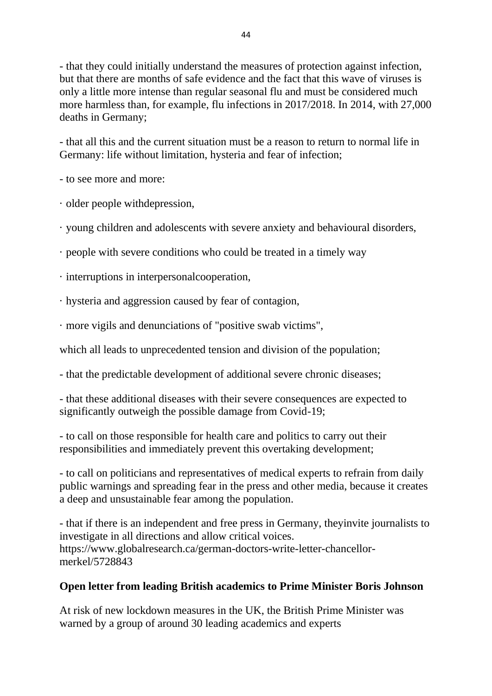- that they could initially understand the measures of protection against infection, but that there are months of safe evidence and the fact that this wave of viruses is only a little more intense than regular seasonal flu and must be considered much more harmless than, for example, flu infections in 2017/2018. In 2014, with 27,000 deaths in Germany;

- that all this and the current situation must be a reason to return to normal life in Germany: life without limitation, hysteria and fear of infection;

- to see more and more:

· older people withdepression,

· young children and adolescents with severe anxiety and behavioural disorders,

· people with severe conditions who could be treated in a timely way

· interruptions in interpersonalcooperation,

· hysteria and aggression caused by fear of contagion,

· more vigils and denunciations of "positive swab victims",

which all leads to unprecedented tension and division of the population;

- that the predictable development of additional severe chronic diseases;

- that these additional diseases with their severe consequences are expected to significantly outweigh the possible damage from Covid-19;

- to call on those responsible for health care and politics to carry out their responsibilities and immediately prevent this overtaking development;

- to call on politicians and representatives of medical experts to refrain from daily public warnings and spreading fear in the press and other media, because it creates a deep and unsustainable fear among the population.

- that if there is an independent and free press in Germany, theyinvite journalists to investigate in all directions and allow critical voices. https://www.globalresearch.ca/german-doctors-write-letter-chancellormerkel/5728843

# **Open letter from leading British academics to Prime Minister Boris Johnson**

At risk of new lockdown measures in the UK, the British Prime Minister was warned by a group of around 30 leading academics and experts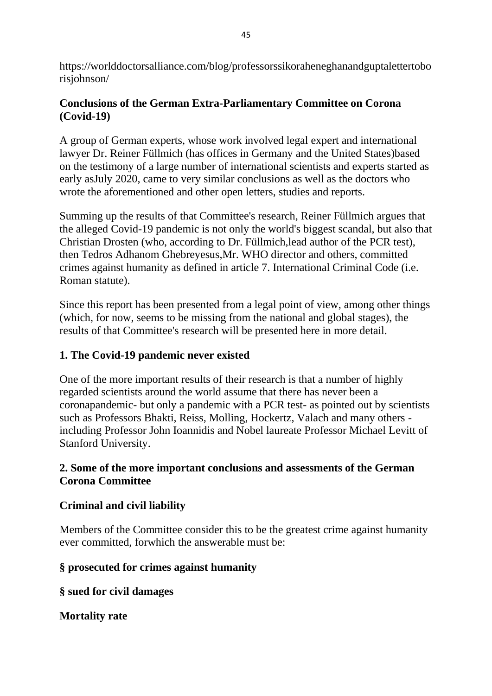https://worlddoctorsalliance.com/blog/professorssikoraheneghanandguptalettertobo risjohnson/

# **Conclusions of the German Extra-Parliamentary Committee on Corona (Covid-19)**

A group of German experts, whose work involved legal expert and international lawyer Dr. Reiner Füllmich (has offices in Germany and the United States)based on the testimony of a large number of international scientists and experts started as early asJuly 2020, came to very similar conclusions as well as the doctors who wrote the aforementioned and other open letters, studies and reports.

Summing up the results of that Committee's research, Reiner Füllmich argues that the alleged Covid-19 pandemic is not only the world's biggest scandal, but also that Christian Drosten (who, according to Dr. Füllmich,lead author of the PCR test), then Tedros Adhanom Ghebreyesus,Mr. WHO director and others, committed crimes against humanity as defined in article 7. International Criminal Code (i.e. Roman statute).

Since this report has been presented from a legal point of view, among other things (which, for now, seems to be missing from the national and global stages), the results of that Committee's research will be presented here in more detail.

# **1. The Covid-19 pandemic never existed**

One of the more important results of their research is that a number of highly regarded scientists around the world assume that there has never been a coronapandemic- but only a pandemic with a PCR test- as pointed out by scientists such as Professors Bhakti, Reiss, Molling, Hockertz, Valach and many others including Professor John Ioannidis and Nobel laureate Professor Michael Levitt of Stanford University.

# **2. Some of the more important conclusions and assessments of the German Corona Committee**

### **Criminal and civil liability**

Members of the Committee consider this to be the greatest crime against humanity ever committed, forwhich the answerable must be:

### **§ prosecuted for crimes against humanity**

**§ sued for civil damages**

### **Mortality rate**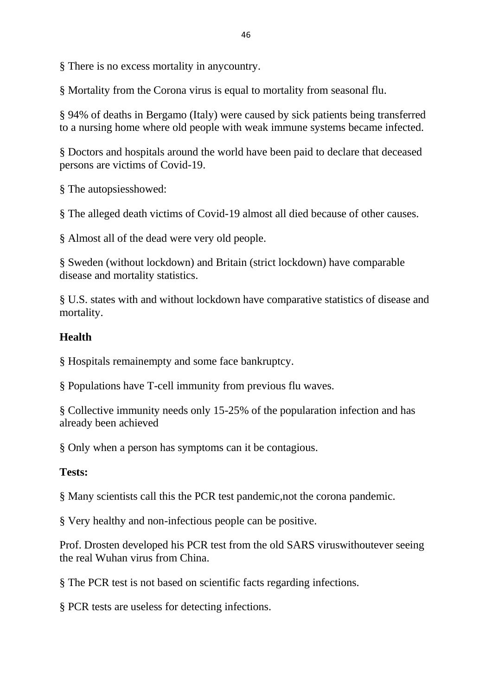§ There is no excess mortality in anycountry.

§ Mortality from the Corona virus is equal to mortality from seasonal flu.

§ 94% of deaths in Bergamo (Italy) were caused by sick patients being transferred to a nursing home where old people with weak immune systems became infected.

§ Doctors and hospitals around the world have been paid to declare that deceased persons are victims of Covid-19.

§ The autopsiesshowed:

§ The alleged death victims of Covid-19 almost all died because of other causes.

§ Almost all of the dead were very old people.

§ Sweden (without lockdown) and Britain (strict lockdown) have comparable disease and mortality statistics.

§ U.S. states with and without lockdown have comparative statistics of disease and mortality.

#### **Health**

§ Hospitals remainempty and some face bankruptcy.

§ Populations have T-cell immunity from previous flu waves.

§ Collective immunity needs only 15-25% of the popularation infection and has already been achieved

§ Only when a person has symptoms can it be contagious.

#### **Tests:**

§ Many scientists call this the PCR test pandemic,not the corona pandemic.

§ Very healthy and non-infectious people can be positive.

Prof. Drosten developed his PCR test from the old SARS viruswithoutever seeing the real Wuhan virus from China.

§ The PCR test is not based on scientific facts regarding infections.

§ PCR tests are useless for detecting infections.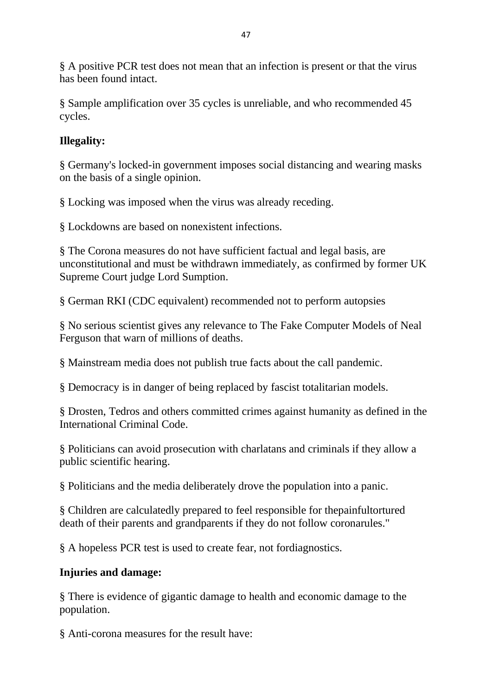§ A positive PCR test does not mean that an infection is present or that the virus has been found intact.

§ Sample amplification over 35 cycles is unreliable, and who recommended 45 cycles.

# **Illegality:**

§ Germany's locked-in government imposes social distancing and wearing masks on the basis of a single opinion.

§ Locking was imposed when the virus was already receding.

§ Lockdowns are based on nonexistent infections.

§ The Corona measures do not have sufficient factual and legal basis, are unconstitutional and must be withdrawn immediately, as confirmed by former UK Supreme Court judge Lord Sumption.

§ German RKI (CDC equivalent) recommended not to perform autopsies

§ No serious scientist gives any relevance to The Fake Computer Models of Neal Ferguson that warn of millions of deaths.

§ Mainstream media does not publish true facts about the call pandemic.

§ Democracy is in danger of being replaced by fascist totalitarian models.

§ Drosten, Tedros and others committed crimes against humanity as defined in the International Criminal Code.

§ Politicians can avoid prosecution with charlatans and criminals if they allow a public scientific hearing.

§ Politicians and the media deliberately drove the population into a panic.

§ Children are calculatedly prepared to feel responsible for thepainfultortured death of their parents and grandparents if they do not follow coronarules."

§ A hopeless PCR test is used to create fear, not fordiagnostics.

# **Injuries and damage:**

§ There is evidence of gigantic damage to health and economic damage to the population.

§ Anti-corona measures for the result have: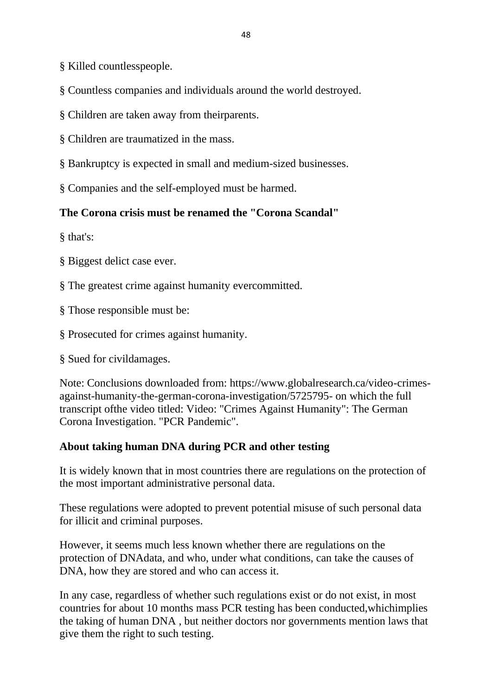§ Killed countlesspeople.

§ Countless companies and individuals around the world destroyed.

§ Children are taken away from theirparents.

§ Children are traumatized in the mass.

§ Bankruptcy is expected in small and medium-sized businesses.

§ Companies and the self-employed must be harmed.

### **The Corona crisis must be renamed the "Corona Scandal"**

§ that's:

§ Biggest delict case ever.

§ The greatest crime against humanity evercommitted.

§ Those responsible must be:

§ Prosecuted for crimes against humanity.

§ Sued for civildamages.

Note: Conclusions downloaded from: https://www.globalresearch.ca/video-crimesagainst-humanity-the-german-corona-investigation/5725795- on which the full transcript ofthe video titled: Video: "Crimes Against Humanity": The German Corona Investigation. "PCR Pandemic".

### **About taking human DNA during PCR and other testing**

It is widely known that in most countries there are regulations on the protection of the most important administrative personal data.

These regulations were adopted to prevent potential misuse of such personal data for illicit and criminal purposes.

However, it seems much less known whether there are regulations on the protection of DNAdata, and who, under what conditions, can take the causes of DNA, how they are stored and who can access it.

In any case, regardless of whether such regulations exist or do not exist, in most countries for about 10 months mass PCR testing has been conducted,whichimplies the taking of human DNA , but neither doctors nor governments mention laws that give them the right to such testing.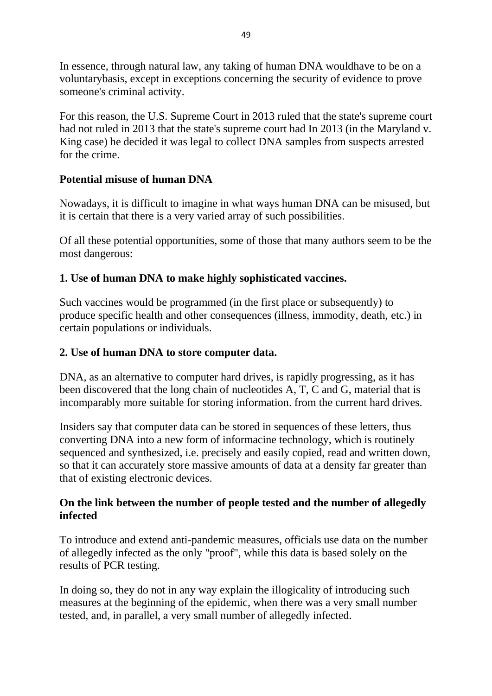In essence, through natural law, any taking of human DNA wouldhave to be on a voluntarybasis, except in exceptions concerning the security of evidence to prove someone's criminal activity.

For this reason, the U.S. Supreme Court in 2013 ruled that the state's supreme court had not ruled in 2013 that the state's supreme court had In 2013 (in the Maryland v. King case) he decided it was legal to collect DNA samples from suspects arrested for the crime.

# **Potential misuse of human DNA**

Nowadays, it is difficult to imagine in what ways human DNA can be misused, but it is certain that there is a very varied array of such possibilities.

Of all these potential opportunities, some of those that many authors seem to be the most dangerous:

# **1. Use of human DNA to make highly sophisticated vaccines.**

Such vaccines would be programmed (in the first place or subsequently) to produce specific health and other consequences (illness, immodity, death, etc.) in certain populations or individuals.

### **2. Use of human DNA to store computer data.**

DNA, as an alternative to computer hard drives, is rapidly progressing, as it has been discovered that the long chain of nucleotides A, T, C and G, material that is incomparably more suitable for storing information. from the current hard drives.

Insiders say that computer data can be stored in sequences of these letters, thus converting DNA into a new form of informacine technology, which is routinely sequenced and synthesized, i.e. precisely and easily copied, read and written down, so that it can accurately store massive amounts of data at a density far greater than that of existing electronic devices.

### **On the link between the number of people tested and the number of allegedly infected**

To introduce and extend anti-pandemic measures, officials use data on the number of allegedly infected as the only "proof", while this data is based solely on the results of PCR testing.

In doing so, they do not in any way explain the illogicality of introducing such measures at the beginning of the epidemic, when there was a very small number tested, and, in parallel, a very small number of allegedly infected.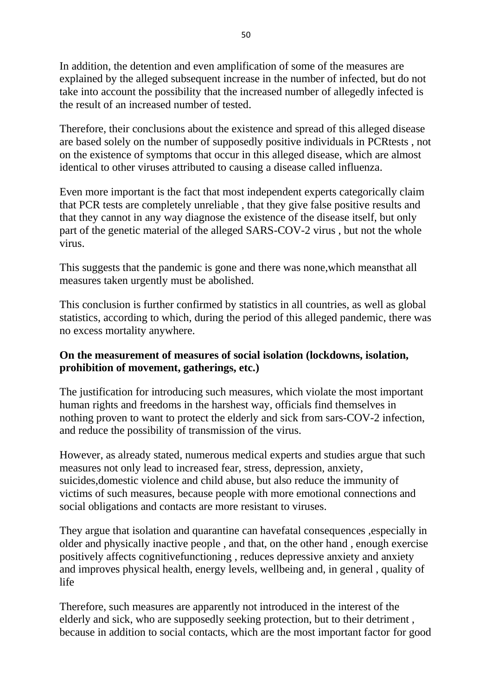In addition, the detention and even amplification of some of the measures are explained by the alleged subsequent increase in the number of infected, but do not take into account the possibility that the increased number of allegedly infected is the result of an increased number of tested.

Therefore, their conclusions about the existence and spread of this alleged disease are based solely on the number of supposedly positive individuals in PCRtests , not on the existence of symptoms that occur in this alleged disease, which are almost identical to other viruses attributed to causing a disease called influenza.

Even more important is the fact that most independent experts categorically claim that PCR tests are completely unreliable , that they give false positive results and that they cannot in any way diagnose the existence of the disease itself, but only part of the genetic material of the alleged SARS-COV-2 virus , but not the whole virus.

This suggests that the pandemic is gone and there was none,which meansthat all measures taken urgently must be abolished.

This conclusion is further confirmed by statistics in all countries, as well as global statistics, according to which, during the period of this alleged pandemic, there was no excess mortality anywhere.

### **On the measurement of measures of social isolation (lockdowns, isolation, prohibition of movement, gatherings, etc.)**

The justification for introducing such measures, which violate the most important human rights and freedoms in the harshest way, officials find themselves in nothing proven to want to protect the elderly and sick from sars-COV-2 infection, and reduce the possibility of transmission of the virus.

However, as already stated, numerous medical experts and studies argue that such measures not only lead to increased fear, stress, depression, anxiety, suicides,domestic violence and child abuse, but also reduce the immunity of victims of such measures, because people with more emotional connections and social obligations and contacts are more resistant to viruses.

They argue that isolation and quarantine can havefatal consequences ,especially in older and physically inactive people , and that, on the other hand , enough exercise positively affects cognitivefunctioning , reduces depressive anxiety and anxiety and improves physical health, energy levels, wellbeing and, in general , quality of life

Therefore, such measures are apparently not introduced in the interest of the elderly and sick, who are supposedly seeking protection, but to their detriment , because in addition to social contacts, which are the most important factor for good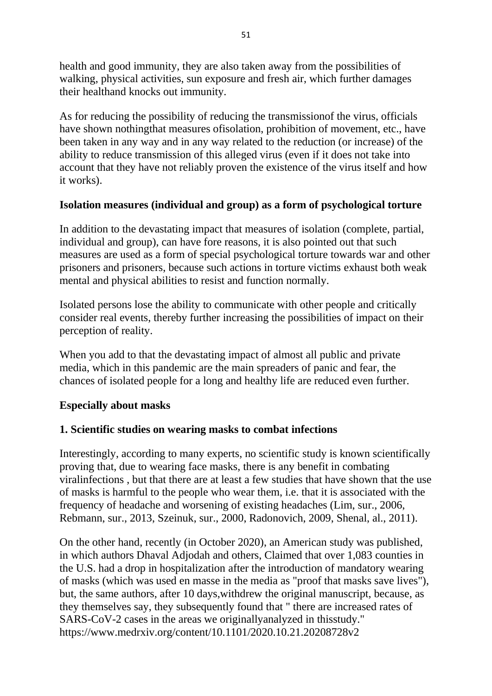health and good immunity, they are also taken away from the possibilities of walking, physical activities, sun exposure and fresh air, which further damages their healthand knocks out immunity.

As for reducing the possibility of reducing the transmissionof the virus, officials have shown nothingthat measures ofisolation, prohibition of movement, etc., have been taken in any way and in any way related to the reduction (or increase) of the ability to reduce transmission of this alleged virus (even if it does not take into account that they have not reliably proven the existence of the virus itself and how it works).

### **Isolation measures (individual and group) as a form of psychological torture**

In addition to the devastating impact that measures of isolation (complete, partial, individual and group), can have fore reasons, it is also pointed out that such measures are used as a form of special psychological torture towards war and other prisoners and prisoners, because such actions in torture victims exhaust both weak mental and physical abilities to resist and function normally.

Isolated persons lose the ability to communicate with other people and critically consider real events, thereby further increasing the possibilities of impact on their perception of reality.

When you add to that the devastating impact of almost all public and private media, which in this pandemic are the main spreaders of panic and fear, the chances of isolated people for a long and healthy life are reduced even further.

### **Especially about masks**

### **1. Scientific studies on wearing masks to combat infections**

Interestingly, according to many experts, no scientific study is known scientifically proving that, due to wearing face masks, there is any benefit in combating viralinfections , but that there are at least a few studies that have shown that the use of masks is harmful to the people who wear them, i.e. that it is associated with the frequency of headache and worsening of existing headaches (Lim, sur., 2006, Rebmann, sur., 2013, Szeinuk, sur., 2000, Radonovich, 2009, Shenal, al., 2011).

On the other hand, recently (in October 2020), an American study was published, in which authors Dhaval Adjodah and others, Claimed that over 1,083 counties in the U.S. had a drop in hospitalization after the introduction of mandatory wearing of masks (which was used en masse in the media as "proof that masks save lives"), but, the same authors, after 10 days,withdrew the original manuscript, because, as they themselves say, they subsequently found that " there are increased rates of SARS-CoV-2 cases in the areas we originallyanalyzed in thisstudy." https://www.medrxiv.org/content/10.1101/2020.10.21.20208728v2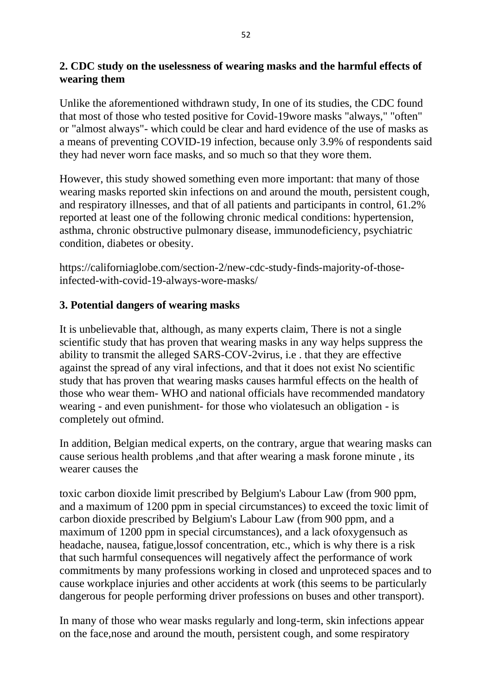# **2. CDC study on the uselessness of wearing masks and the harmful effects of wearing them**

Unlike the aforementioned withdrawn study, In one of its studies, the CDC found that most of those who tested positive for Covid-19wore masks "always," "often" or "almost always"- which could be clear and hard evidence of the use of masks as a means of preventing COVID-19 infection, because only 3.9% of respondents said they had never worn face masks, and so much so that they wore them.

However, this study showed something even more important: that many of those wearing masks reported skin infections on and around the mouth, persistent cough, and respiratory illnesses, and that of all patients and participants in control, 61.2% reported at least one of the following chronic medical conditions: hypertension, asthma, chronic obstructive pulmonary disease, immunodeficiency, psychiatric condition, diabetes or obesity.

https://californiaglobe.com/section-2/new-cdc-study-finds-majority-of-thoseinfected-with-covid-19-always-wore-masks/

# **3. Potential dangers of wearing masks**

It is unbelievable that, although, as many experts claim, There is not a single scientific study that has proven that wearing masks in any way helps suppress the ability to transmit the alleged SARS-COV-2virus, i.e . that they are effective against the spread of any viral infections, and that it does not exist No scientific study that has proven that wearing masks causes harmful effects on the health of those who wear them- WHO and national officials have recommended mandatory wearing - and even punishment- for those who violatesuch an obligation - is completely out ofmind.

In addition, Belgian medical experts, on the contrary, argue that wearing masks can cause serious health problems ,and that after wearing a mask forone minute , its wearer causes the

toxic carbon dioxide limit prescribed by Belgium's Labour Law (from 900 ppm, and a maximum of 1200 ppm in special circumstances) to exceed the toxic limit of carbon dioxide prescribed by Belgium's Labour Law (from 900 ppm, and a maximum of 1200 ppm in special circumstances), and a lack ofoxygensuch as headache, nausea, fatigue,lossof concentration, etc., which is why there is a risk that such harmful consequences will negatively affect the performance of work commitments by many professions working in closed and unproteced spaces and to cause workplace injuries and other accidents at work (this seems to be particularly dangerous for people performing driver professions on buses and other transport).

In many of those who wear masks regularly and long-term, skin infections appear on the face,nose and around the mouth, persistent cough, and some respiratory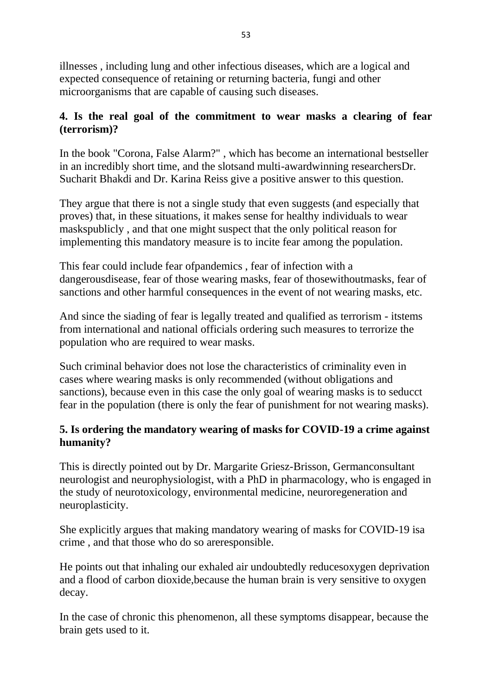illnesses , including lung and other infectious diseases, which are a logical and expected consequence of retaining or returning bacteria, fungi and other microorganisms that are capable of causing such diseases.

### **4. Is the real goal of the commitment to wear masks a clearing of fear (terrorism)?**

In the book "Corona, False Alarm?" , which has become an international bestseller in an incredibly short time, and the slotsand multi-awardwinning researchersDr. Sucharit Bhakdi and Dr. Karina Reiss give a positive answer to this question.

They argue that there is not a single study that even suggests (and especially that proves) that, in these situations, it makes sense for healthy individuals to wear maskspublicly , and that one might suspect that the only political reason for implementing this mandatory measure is to incite fear among the population.

This fear could include fear of pandemics, fear of infection with a dangerousdisease, fear of those wearing masks, fear of thosewithoutmasks, fear of sanctions and other harmful consequences in the event of not wearing masks, etc.

And since the siading of fear is legally treated and qualified as terrorism - itstems from international and national officials ordering such measures to terrorize the population who are required to wear masks.

Such criminal behavior does not lose the characteristics of criminality even in cases where wearing masks is only recommended (without obligations and sanctions), because even in this case the only goal of wearing masks is to seducct fear in the population (there is only the fear of punishment for not wearing masks).

# **5. Is ordering the mandatory wearing of masks for COVID-19 a crime against humanity?**

This is directly pointed out by Dr. Margarite Griesz-Brisson, Germanconsultant neurologist and neurophysiologist, with a PhD in pharmacology, who is engaged in the study of neurotoxicology, environmental medicine, neuroregeneration and neuroplasticity.

She explicitly argues that making mandatory wearing of masks for COVID-19 isa crime , and that those who do so areresponsible.

He points out that inhaling our exhaled air undoubtedly reducesoxygen deprivation and a flood of carbon dioxide,because the human brain is very sensitive to oxygen decay.

In the case of chronic this phenomenon, all these symptoms disappear, because the brain gets used to it.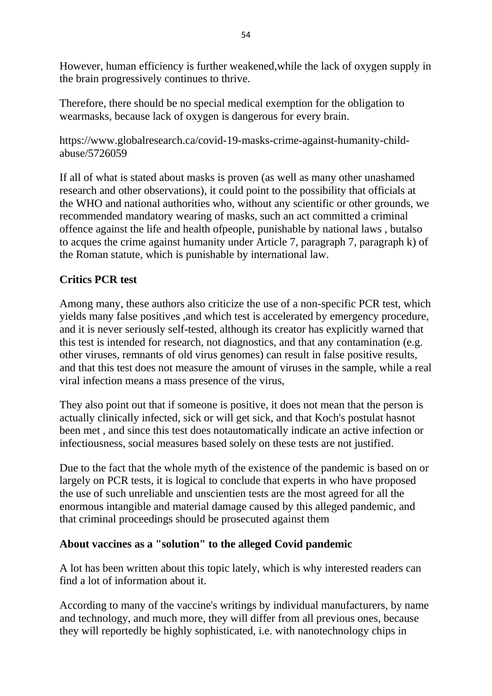However, human efficiency is further weakened,while the lack of oxygen supply in the brain progressively continues to thrive.

Therefore, there should be no special medical exemption for the obligation to wearmasks, because lack of oxygen is dangerous for every brain.

https://www.globalresearch.ca/covid-19-masks-crime-against-humanity-childabuse/5726059

If all of what is stated about masks is proven (as well as many other unashamed research and other observations), it could point to the possibility that officials at the WHO and national authorities who, without any scientific or other grounds, we recommended mandatory wearing of masks, such an act committed a criminal offence against the life and health ofpeople, punishable by national laws , butalso to acques the crime against humanity under Article 7, paragraph 7, paragraph k) of the Roman statute, which is punishable by international law.

# **Critics PCR test**

Among many, these authors also criticize the use of a non-specific PCR test, which yields many false positives ,and which test is accelerated by emergency procedure, and it is never seriously self-tested, although its creator has explicitly warned that this test is intended for research, not diagnostics, and that any contamination (e.g. other viruses, remnants of old virus genomes) can result in false positive results, and that this test does not measure the amount of viruses in the sample, while a real viral infection means a mass presence of the virus,

They also point out that if someone is positive, it does not mean that the person is actually clinically infected, sick or will get sick, and that Koch's postulat hasnot been met , and since this test does notautomatically indicate an active infection or infectiousness, social measures based solely on these tests are not justified.

Due to the fact that the whole myth of the existence of the pandemic is based on or largely on PCR tests, it is logical to conclude that experts in who have proposed the use of such unreliable and unscientien tests are the most agreed for all the enormous intangible and material damage caused by this alleged pandemic, and that criminal proceedings should be prosecuted against them

#### **About vaccines as a "solution" to the alleged Covid pandemic**

A lot has been written about this topic lately, which is why interested readers can find a lot of information about it.

According to many of the vaccine's writings by individual manufacturers, by name and technology, and much more, they will differ from all previous ones, because they will reportedly be highly sophisticated, i.e. with nanotechnology chips in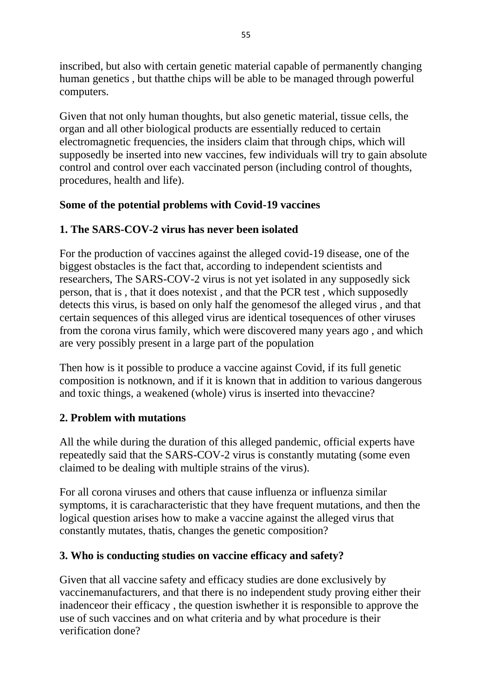inscribed, but also with certain genetic material capable of permanently changing human genetics , but thatthe chips will be able to be managed through powerful computers.

Given that not only human thoughts, but also genetic material, tissue cells, the organ and all other biological products are essentially reduced to certain electromagnetic frequencies, the insiders claim that through chips, which will supposedly be inserted into new vaccines, few individuals will try to gain absolute control and control over each vaccinated person (including control of thoughts, procedures, health and life).

# **Some of the potential problems with Covid-19 vaccines**

# **1. The SARS-COV-2 virus has never been isolated**

For the production of vaccines against the alleged covid-19 disease, one of the biggest obstacles is the fact that, according to independent scientists and researchers, The SARS-COV-2 virus is not yet isolated in any supposedly sick person, that is , that it does notexist , and that the PCR test , which supposedly detects this virus, is based on only half the genomesof the alleged virus , and that certain sequences of this alleged virus are identical tosequences of other viruses from the corona virus family, which were discovered many years ago , and which are very possibly present in a large part of the population

Then how is it possible to produce a vaccine against Covid, if its full genetic composition is notknown, and if it is known that in addition to various dangerous and toxic things, a weakened (whole) virus is inserted into thevaccine?

# **2. Problem with mutations**

All the while during the duration of this alleged pandemic, official experts have repeatedly said that the SARS-COV-2 virus is constantly mutating (some even claimed to be dealing with multiple strains of the virus).

For all corona viruses and others that cause influenza or influenza similar symptoms, it is caracharacteristic that they have frequent mutations, and then the logical question arises how to make a vaccine against the alleged virus that constantly mutates, thatis, changes the genetic composition?

# **3. Who is conducting studies on vaccine efficacy and safety?**

Given that all vaccine safety and efficacy studies are done exclusively by vaccinemanufacturers, and that there is no independent study proving either their inadenceor their efficacy , the question iswhether it is responsible to approve the use of such vaccines and on what criteria and by what procedure is their verification done?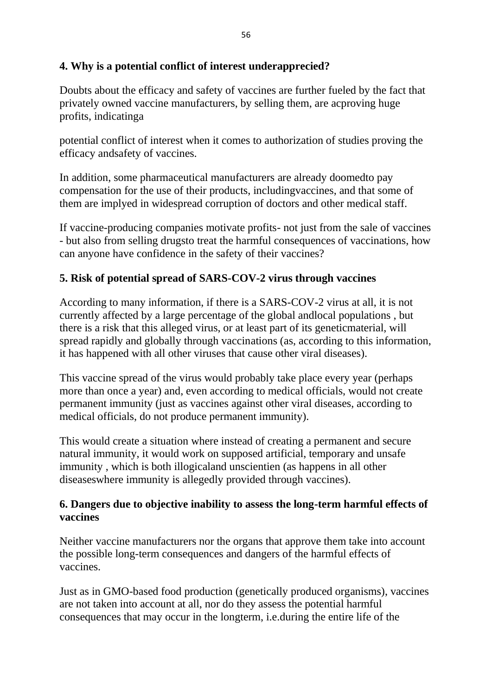### **4. Why is a potential conflict of interest underapprecied?**

Doubts about the efficacy and safety of vaccines are further fueled by the fact that privately owned vaccine manufacturers, by selling them, are acproving huge profits, indicatinga

potential conflict of interest when it comes to authorization of studies proving the efficacy andsafety of vaccines.

In addition, some pharmaceutical manufacturers are already doomedto pay compensation for the use of their products, includingvaccines, and that some of them are implyed in widespread corruption of doctors and other medical staff.

If vaccine-producing companies motivate profits- not just from the sale of vaccines - but also from selling drugsto treat the harmful consequences of vaccinations, how can anyone have confidence in the safety of their vaccines?

### **5. Risk of potential spread of SARS-COV-2 virus through vaccines**

According to many information, if there is a SARS-COV-2 virus at all, it is not currently affected by a large percentage of the global andlocal populations , but there is a risk that this alleged virus, or at least part of its geneticmaterial, will spread rapidly and globally through vaccinations (as, according to this information, it has happened with all other viruses that cause other viral diseases).

This vaccine spread of the virus would probably take place every year (perhaps more than once a year) and, even according to medical officials, would not create permanent immunity (just as vaccines against other viral diseases, according to medical officials, do not produce permanent immunity).

This would create a situation where instead of creating a permanent and secure natural immunity, it would work on supposed artificial, temporary and unsafe immunity , which is both illogicaland unscientien (as happens in all other diseaseswhere immunity is allegedly provided through vaccines).

### **6. Dangers due to objective inability to assess the long-term harmful effects of vaccines**

Neither vaccine manufacturers nor the organs that approve them take into account the possible long-term consequences and dangers of the harmful effects of vaccines.

Just as in GMO-based food production (genetically produced organisms), vaccines are not taken into account at all, nor do they assess the potential harmful consequences that may occur in the longterm, i.e.during the entire life of the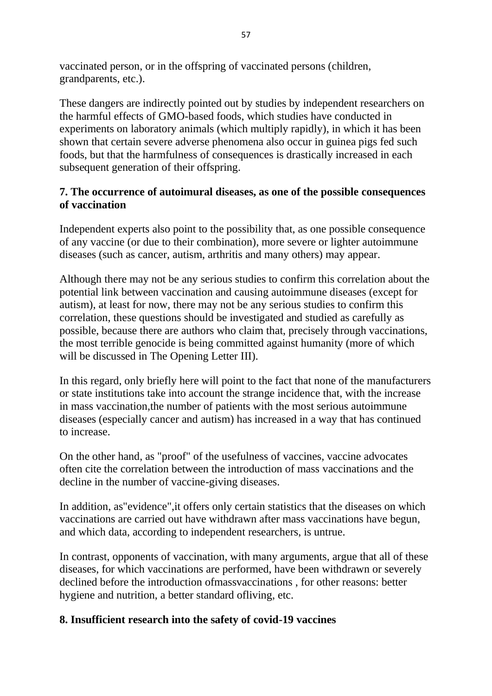vaccinated person, or in the offspring of vaccinated persons (children, grandparents, etc.).

These dangers are indirectly pointed out by studies by independent researchers on the harmful effects of GMO-based foods, which studies have conducted in experiments on laboratory animals (which multiply rapidly), in which it has been shown that certain severe adverse phenomena also occur in guinea pigs fed such foods, but that the harmfulness of consequences is drastically increased in each subsequent generation of their offspring.

### **7. The occurrence of autoimural diseases, as one of the possible consequences of vaccination**

Independent experts also point to the possibility that, as one possible consequence of any vaccine (or due to their combination), more severe or lighter autoimmune diseases (such as cancer, autism, arthritis and many others) may appear.

Although there may not be any serious studies to confirm this correlation about the potential link between vaccination and causing autoimmune diseases (except for autism), at least for now, there may not be any serious studies to confirm this correlation, these questions should be investigated and studied as carefully as possible, because there are authors who claim that, precisely through vaccinations, the most terrible genocide is being committed against humanity (more of which will be discussed in The Opening Letter III).

In this regard, only briefly here will point to the fact that none of the manufacturers or state institutions take into account the strange incidence that, with the increase in mass vaccination,the number of patients with the most serious autoimmune diseases (especially cancer and autism) has increased in a way that has continued to increase.

On the other hand, as "proof" of the usefulness of vaccines, vaccine advocates often cite the correlation between the introduction of mass vaccinations and the decline in the number of vaccine-giving diseases.

In addition, as"evidence",it offers only certain statistics that the diseases on which vaccinations are carried out have withdrawn after mass vaccinations have begun, and which data, according to independent researchers, is untrue.

In contrast, opponents of vaccination, with many arguments, argue that all of these diseases, for which vaccinations are performed, have been withdrawn or severely declined before the introduction ofmassvaccinations , for other reasons: better hygiene and nutrition, a better standard ofliving, etc.

### **8. Insufficient research into the safety of covid-19 vaccines**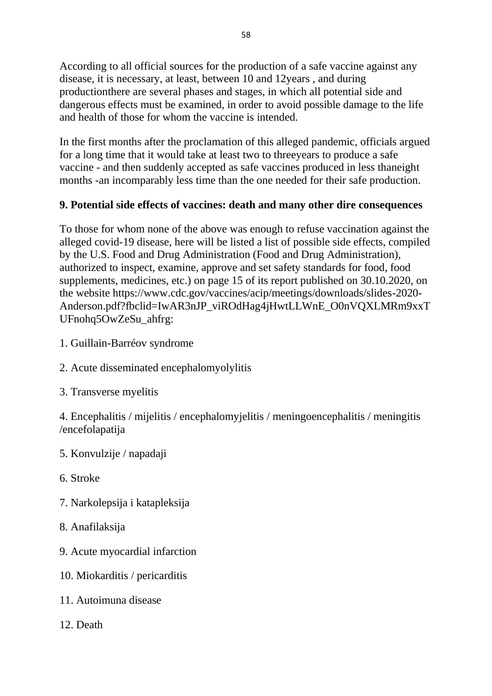According to all official sources for the production of a safe vaccine against any disease, it is necessary, at least, between 10 and 12years , and during productionthere are several phases and stages, in which all potential side and dangerous effects must be examined, in order to avoid possible damage to the life and health of those for whom the vaccine is intended.

In the first months after the proclamation of this alleged pandemic, officials argued for a long time that it would take at least two to threeyears to produce a safe vaccine - and then suddenly accepted as safe vaccines produced in less thaneight months -an incomparably less time than the one needed for their safe production.

# **9. Potential side effects of vaccines: death and many other dire consequences**

To those for whom none of the above was enough to refuse vaccination against the alleged covid-19 disease, here will be listed a list of possible side effects, compiled by the U.S. Food and Drug Administration (Food and Drug Administration), authorized to inspect, examine, approve and set safety standards for food, food supplements, medicines, etc.) on page 15 of its report published on 30.10.2020, on the website https://www.cdc.gov/vaccines/acip/meetings/downloads/slides-2020- Anderson.pdf?fbclid=IwAR3nJP\_viROdHag4jHwtLLWnE\_O0nVQXLMRm9xxT UFnohq5OwZeSu\_ahfrg:

- 1. Guillain-Barréov syndrome
- 2. Acute disseminated encephalomyolylitis
- 3. Transverse myelitis

4. Encephalitis / mijelitis / encephalomyjelitis / meningoencephalitis / meningitis /encefolapatija

- 5. Konvulzije / napadaji
- 6. Stroke
- 7. Narkolepsija i katapleksija
- 8. Anafilaksija
- 9. Acute myocardial infarction
- 10. Miokarditis / pericarditis
- 11. Autoimuna disease
- 12. Death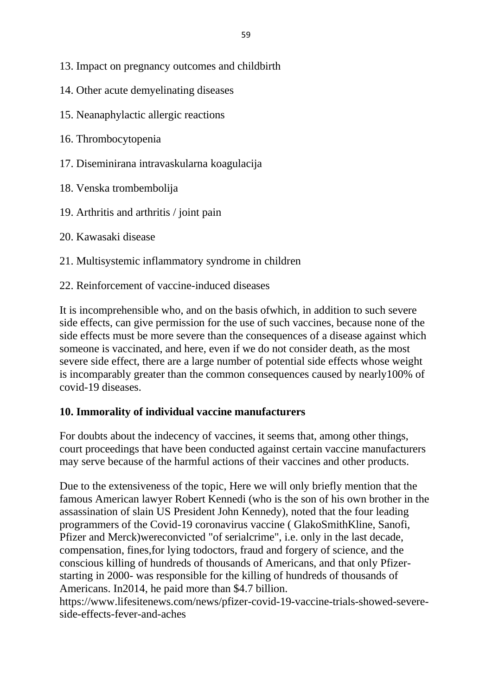- 13. Impact on pregnancy outcomes and childbirth
- 14. Other acute demyelinating diseases
- 15. Neanaphylactic allergic reactions
- 16. Thrombocytopenia
- 17. Diseminirana intravaskularna koagulacija
- 18. Venska trombembolija
- 19. Arthritis and arthritis / joint pain
- 20. Kawasaki disease
- 21. Multisystemic inflammatory syndrome in children
- 22. Reinforcement of vaccine-induced diseases

It is incomprehensible who, and on the basis ofwhich, in addition to such severe side effects, can give permission for the use of such vaccines, because none of the side effects must be more severe than the consequences of a disease against which someone is vaccinated, and here, even if we do not consider death, as the most severe side effect, there are a large number of potential side effects whose weight is incomparably greater than the common consequences caused by nearly100% of covid-19 diseases.

# **10. Immorality of individual vaccine manufacturers**

For doubts about the indecency of vaccines, it seems that, among other things, court proceedings that have been conducted against certain vaccine manufacturers may serve because of the harmful actions of their vaccines and other products.

Due to the extensiveness of the topic, Here we will only briefly mention that the famous American lawyer Robert Kennedi (who is the son of his own brother in the assassination of slain US President John Kennedy), noted that the four leading programmers of the Covid-19 coronavirus vaccine ( GlakoSmithKline, Sanofi, Pfizer and Merck)wereconvicted "of serialcrime", i.e. only in the last decade, compensation, fines,for lying todoctors, fraud and forgery of science, and the conscious killing of hundreds of thousands of Americans, and that only Pfizerstarting in 2000- was responsible for the killing of hundreds of thousands of Americans. In2014, he paid more than \$4.7 billion.

https://www.lifesitenews.com/news/pfizer-covid-19-vaccine-trials-showed-severeside-effects-fever-and-aches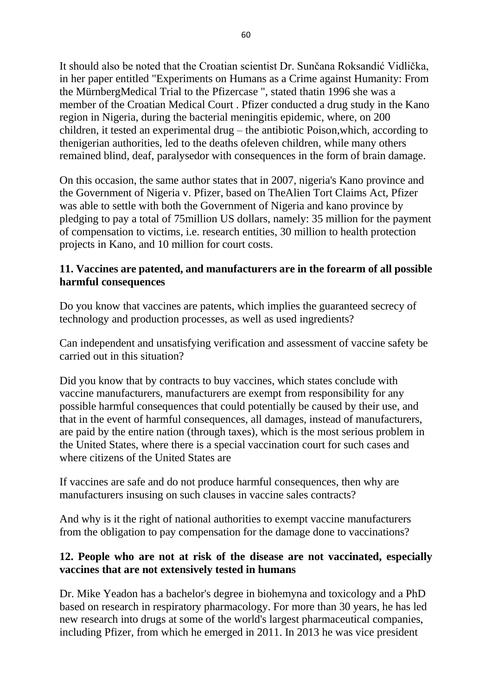It should also be noted that the Croatian scientist Dr. Sunčana Roksandić Vidlička, in her paper entitled "Experiments on Humans as a Crime against Humanity: From the MürnbergMedical Trial to the Pfizercase ", stated thatin 1996 she was a member of the Croatian Medical Court . Pfizer conducted a drug study in the Kano region in Nigeria, during the bacterial meningitis epidemic, where, on 200 children, it tested an experimental drug – the antibiotic Poison,which, according to thenigerian authorities, led to the deaths ofeleven children, while many others remained blind, deaf, paralysedor with consequences in the form of brain damage.

On this occasion, the same author states that in 2007, nigeria's Kano province and the Government of Nigeria v. Pfizer, based on TheAlien Tort Claims Act, Pfizer was able to settle with both the Government of Nigeria and kano province by pledging to pay a total of 75million US dollars, namely: 35 million for the payment of compensation to victims, i.e. research entities, 30 million to health protection projects in Kano, and 10 million for court costs.

### **11. Vaccines are patented, and manufacturers are in the forearm of all possible harmful consequences**

Do you know that vaccines are patents, which implies the guaranteed secrecy of technology and production processes, as well as used ingredients?

Can independent and unsatisfying verification and assessment of vaccine safety be carried out in this situation?

Did you know that by contracts to buy vaccines, which states conclude with vaccine manufacturers, manufacturers are exempt from responsibility for any possible harmful consequences that could potentially be caused by their use, and that in the event of harmful consequences, all damages, instead of manufacturers, are paid by the entire nation (through taxes), which is the most serious problem in the United States, where there is a special vaccination court for such cases and where citizens of the United States are

If vaccines are safe and do not produce harmful consequences, then why are manufacturers insusing on such clauses in vaccine sales contracts?

And why is it the right of national authorities to exempt vaccine manufacturers from the obligation to pay compensation for the damage done to vaccinations?

#### **12. People who are not at risk of the disease are not vaccinated, especially vaccines that are not extensively tested in humans**

Dr. Mike Yeadon has a bachelor's degree in biohemyna and toxicology and a PhD based on research in respiratory pharmacology. For more than 30 years, he has led new research into drugs at some of the world's largest pharmaceutical companies, including Pfizer, from which he emerged in 2011. In 2013 he was vice president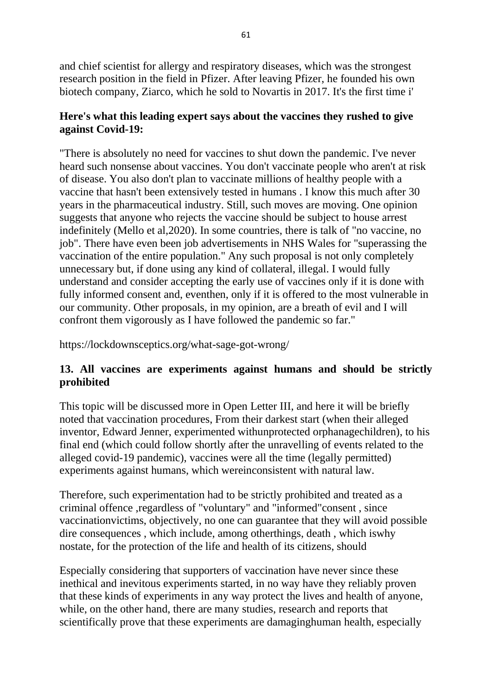and chief scientist for allergy and respiratory diseases, which was the strongest research position in the field in Pfizer. After leaving Pfizer, he founded his own biotech company, Ziarco, which he sold to Novartis in 2017. It's the first time i'

#### **Here's what this leading expert says about the vaccines they rushed to give against Covid-19:**

"There is absolutely no need for vaccines to shut down the pandemic. I've never heard such nonsense about vaccines. You don't vaccinate people who aren't at risk of disease. You also don't plan to vaccinate millions of healthy people with a vaccine that hasn't been extensively tested in humans . I know this much after 30 years in the pharmaceutical industry. Still, such moves are moving. One opinion suggests that anyone who rejects the vaccine should be subject to house arrest indefinitely (Mello et al,2020). In some countries, there is talk of "no vaccine, no job". There have even been job advertisements in NHS Wales for "superassing the vaccination of the entire population." Any such proposal is not only completely unnecessary but, if done using any kind of collateral, illegal. I would fully understand and consider accepting the early use of vaccines only if it is done with fully informed consent and, eventhen, only if it is offered to the most vulnerable in our community. Other proposals, in my opinion, are a breath of evil and I will confront them vigorously as I have followed the pandemic so far."

https://lockdownsceptics.org/what-sage-got-wrong/

### **13. All vaccines are experiments against humans and should be strictly prohibited**

This topic will be discussed more in Open Letter III, and here it will be briefly noted that vaccination procedures, From their darkest start (when their alleged inventor, Edward Jenner, experimented withunprotected orphanagechildren), to his final end (which could follow shortly after the unravelling of events related to the alleged covid-19 pandemic), vaccines were all the time (legally permitted) experiments against humans, which wereinconsistent with natural law.

Therefore, such experimentation had to be strictly prohibited and treated as a criminal offence ,regardless of "voluntary" and "informed"consent , since vaccinationvictims, objectively, no one can guarantee that they will avoid possible dire consequences , which include, among otherthings, death , which iswhy nostate, for the protection of the life and health of its citizens, should

Especially considering that supporters of vaccination have never since these inethical and inevitous experiments started, in no way have they reliably proven that these kinds of experiments in any way protect the lives and health of anyone, while, on the other hand, there are many studies, research and reports that scientifically prove that these experiments are damaginghuman health, especially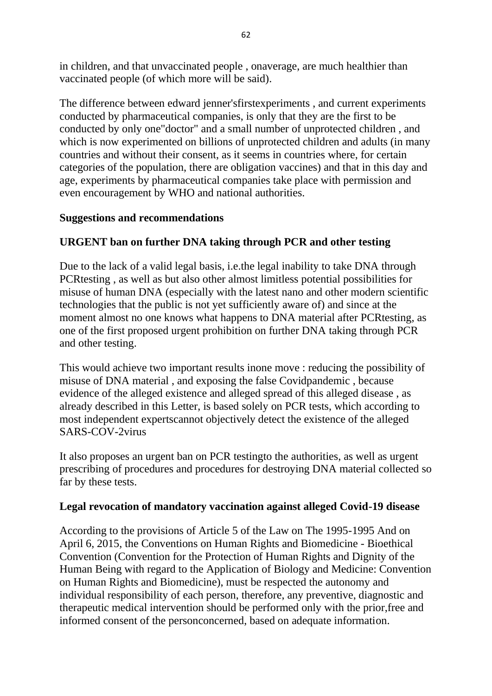in children, and that unvaccinated people , onaverage, are much healthier than vaccinated people (of which more will be said).

The difference between edward jenner'sfirstexperiments , and current experiments conducted by pharmaceutical companies, is only that they are the first to be conducted by only one"doctor" and a small number of unprotected children , and which is now experimented on billions of unprotected children and adults (in many countries and without their consent, as it seems in countries where, for certain categories of the population, there are obligation vaccines) and that in this day and age, experiments by pharmaceutical companies take place with permission and even encouragement by WHO and national authorities.

### **Suggestions and recommendations**

# **URGENT ban on further DNA taking through PCR and other testing**

Due to the lack of a valid legal basis, i.e.the legal inability to take DNA through PCRtesting , as well as but also other almost limitless potential possibilities for misuse of human DNA (especially with the latest nano and other modern scientific technologies that the public is not yet sufficiently aware of) and since at the moment almost no one knows what happens to DNA material after PCRtesting, as one of the first proposed urgent prohibition on further DNA taking through PCR and other testing.

This would achieve two important results inone move : reducing the possibility of misuse of DNA material , and exposing the false Covidpandemic , because evidence of the alleged existence and alleged spread of this alleged disease , as already described in this Letter, is based solely on PCR tests, which according to most independent expertscannot objectively detect the existence of the alleged SARS-COV-2virus

It also proposes an urgent ban on PCR testingto the authorities, as well as urgent prescribing of procedures and procedures for destroying DNA material collected so far by these tests.

#### **Legal revocation of mandatory vaccination against alleged Covid-19 disease**

According to the provisions of Article 5 of the Law on The 1995-1995 And on April 6, 2015, the Conventions on Human Rights and Biomedicine - Bioethical Convention (Convention for the Protection of Human Rights and Dignity of the Human Being with regard to the Application of Biology and Medicine: Convention on Human Rights and Biomedicine), must be respected the autonomy and individual responsibility of each person, therefore, any preventive, diagnostic and therapeutic medical intervention should be performed only with the prior,free and informed consent of the personconcerned, based on adequate information.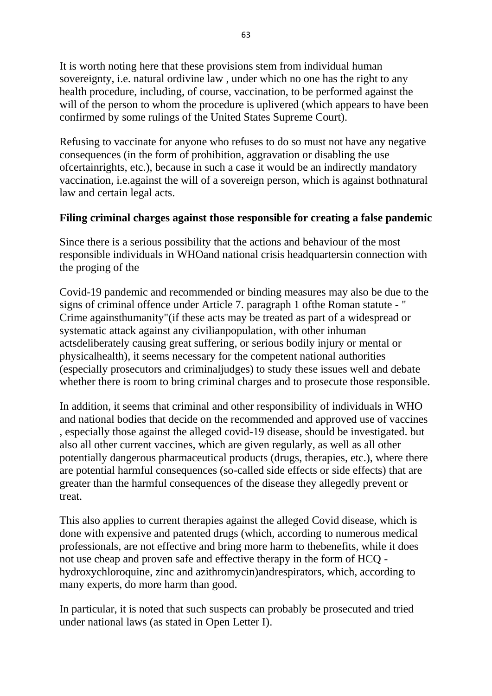It is worth noting here that these provisions stem from individual human sovereignty, i.e. natural ordivine law , under which no one has the right to any health procedure, including, of course, vaccination, to be performed against the will of the person to whom the procedure is uplivered (which appears to have been confirmed by some rulings of the United States Supreme Court).

Refusing to vaccinate for anyone who refuses to do so must not have any negative consequences (in the form of prohibition, aggravation or disabling the use ofcertainrights, etc.), because in such a case it would be an indirectly mandatory vaccination, i.e.against the will of a sovereign person, which is against bothnatural law and certain legal acts.

### **Filing criminal charges against those responsible for creating a false pandemic**

Since there is a serious possibility that the actions and behaviour of the most responsible individuals in WHOand national crisis headquartersin connection with the proging of the

Covid-19 pandemic and recommended or binding measures may also be due to the signs of criminal offence under Article 7. paragraph 1 ofthe Roman statute - " Crime againsthumanity"(if these acts may be treated as part of a widespread or systematic attack against any civilianpopulation, with other inhuman actsdeliberately causing great suffering, or serious bodily injury or mental or physicalhealth), it seems necessary for the competent national authorities (especially prosecutors and criminaljudges) to study these issues well and debate whether there is room to bring criminal charges and to prosecute those responsible.

In addition, it seems that criminal and other responsibility of individuals in WHO and national bodies that decide on the recommended and approved use of vaccines , especially those against the alleged covid-19 disease, should be investigated. but also all other current vaccines, which are given regularly, as well as all other potentially dangerous pharmaceutical products (drugs, therapies, etc.), where there are potential harmful consequences (so-called side effects or side effects) that are greater than the harmful consequences of the disease they allegedly prevent or treat.

This also applies to current therapies against the alleged Covid disease, which is done with expensive and patented drugs (which, according to numerous medical professionals, are not effective and bring more harm to thebenefits, while it does not use cheap and proven safe and effective therapy in the form of HCQ hydroxychloroquine, zinc and azithromycin)andrespirators, which, according to many experts, do more harm than good.

In particular, it is noted that such suspects can probably be prosecuted and tried under national laws (as stated in Open Letter I).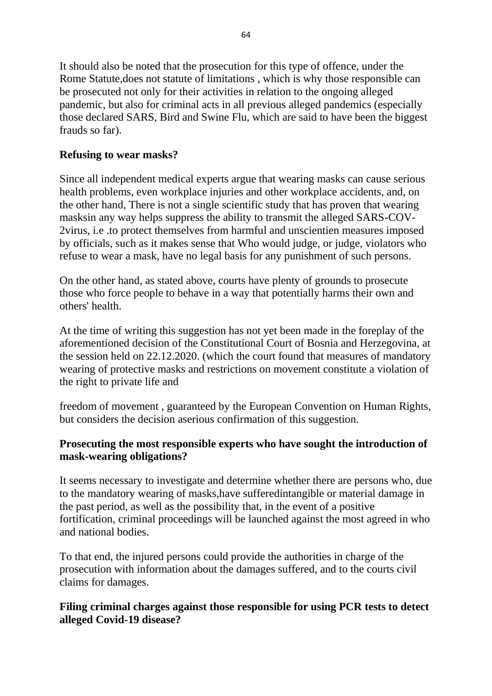It should also be noted that the prosecution for this type of offence, under the Rome Statute,does not statute of limitations , which is why those responsible can be prosecuted not only for their activities in relation to the ongoing alleged pandemic, but also for criminal acts in all previous alleged pandemics (especially those declared SARS, Bird and Swine Flu, which are said to have been the biggest frauds so far).

### **Refusing to wear masks?**

Since all independent medical experts argue that wearing masks can cause serious health problems, even workplace injuries and other workplace accidents, and, on the other hand, There is not a single scientific study that has proven that wearing masksin any way helps suppress the ability to transmit the alleged SARS-COV-2virus, i.e .to protect themselves from harmful and unscientien measures imposed by officials, such as it makes sense that Who would judge, or judge, violators who refuse to wear a mask, have no legal basis for any punishment of such persons.

On the other hand, as stated above, courts have plenty of grounds to prosecute those who force people to behave in a way that potentially harms their own and others' health.

At the time of writing this suggestion has not yet been made in the foreplay of the aforementioned decision of the Constitutional Court of Bosnia and Herzegovina, at the session held on 22.12.2020. (which the court found that measures of mandatory wearing of protective masks and restrictions on movement constitute a violation of the right to private life and

freedom of movement , guaranteed by the European Convention on Human Rights, but considers the decision aserious confirmation of this suggestion.

# **Prosecuting the most responsible experts who have sought the introduction of mask-wearing obligations?**

It seems necessary to investigate and determine whether there are persons who, due to the mandatory wearing of masks,have sufferedintangible or material damage in the past period, as well as the possibility that, in the event of a positive fortification, criminal proceedings will be launched against the most agreed in who and national bodies.

To that end, the injured persons could provide the authorities in charge of the prosecution with information about the damages suffered, and to the courts civil claims for damages.

### **Filing criminal charges against those responsible for using PCR tests to detect alleged Covid-19 disease?**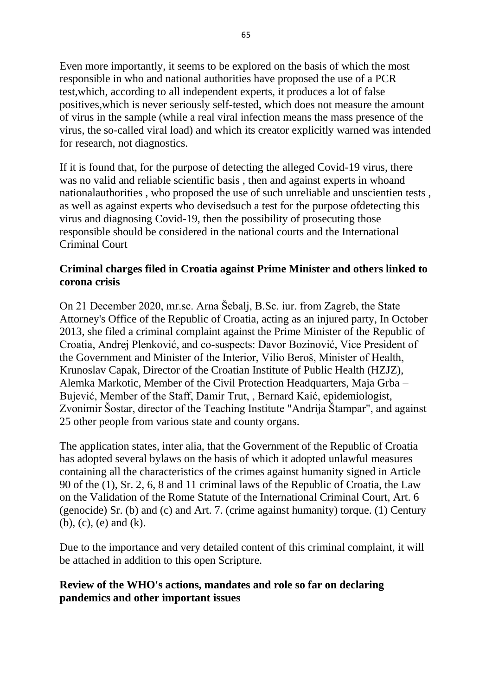Even more importantly, it seems to be explored on the basis of which the most responsible in who and national authorities have proposed the use of a PCR test,which, according to all independent experts, it produces a lot of false positives,which is never seriously self-tested, which does not measure the amount of virus in the sample (while a real viral infection means the mass presence of the virus, the so-called viral load) and which its creator explicitly warned was intended for research, not diagnostics.

If it is found that, for the purpose of detecting the alleged Covid-19 virus, there was no valid and reliable scientific basis , then and against experts in whoand nationalauthorities , who proposed the use of such unreliable and unscientien tests , as well as against experts who devisedsuch a test for the purpose ofdetecting this virus and diagnosing Covid-19, then the possibility of prosecuting those responsible should be considered in the national courts and the International Criminal Court

### **Criminal charges filed in Croatia against Prime Minister and others linked to corona crisis**

On 21 December 2020, mr.sc. Arna Šebalj, B.Sc. iur. from Zagreb, the State Attorney's Office of the Republic of Croatia, acting as an injured party, In October 2013, she filed a criminal complaint against the Prime Minister of the Republic of Croatia, Andrej Plenković, and co-suspects: Davor Bozinović, Vice President of the Government and Minister of the Interior, Vilio Beroš, Minister of Health, Krunoslav Capak, Director of the Croatian Institute of Public Health (HZJZ), Alemka Markotic, Member of the Civil Protection Headquarters, Maja Grba – Bujević, Member of the Staff, Damir Trut, , Bernard Kaić, epidemiologist, Zvonimir Šostar, director of the Teaching Institute "Andrija Štampar", and against 25 other people from various state and county organs.

The application states, inter alia, that the Government of the Republic of Croatia has adopted several bylaws on the basis of which it adopted unlawful measures containing all the characteristics of the crimes against humanity signed in Article 90 of the (1), Sr. 2, 6, 8 and 11 criminal laws of the Republic of Croatia, the Law on the Validation of the Rome Statute of the International Criminal Court, Art. 6 (genocide) Sr. (b) and (c) and Art. 7. (crime against humanity) torque. (1) Century (b), (c), (e) and (k).

Due to the importance and very detailed content of this criminal complaint, it will be attached in addition to this open Scripture.

### **Review of the WHO's actions, mandates and role so far on declaring pandemics and other important issues**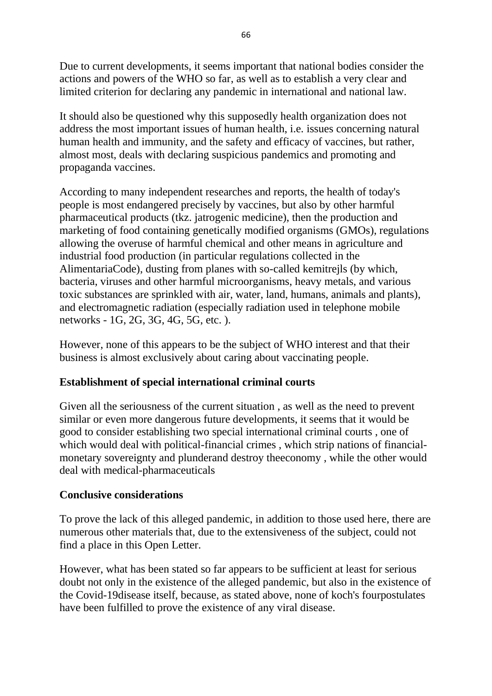Due to current developments, it seems important that national bodies consider the actions and powers of the WHO so far, as well as to establish a very clear and limited criterion for declaring any pandemic in international and national law.

It should also be questioned why this supposedly health organization does not address the most important issues of human health, i.e. issues concerning natural human health and immunity, and the safety and efficacy of vaccines, but rather, almost most, deals with declaring suspicious pandemics and promoting and propaganda vaccines.

According to many independent researches and reports, the health of today's people is most endangered precisely by vaccines, but also by other harmful pharmaceutical products (tkz. jatrogenic medicine), then the production and marketing of food containing genetically modified organisms (GMOs), regulations allowing the overuse of harmful chemical and other means in agriculture and industrial food production (in particular regulations collected in the AlimentariaCode), dusting from planes with so-called kemitrejls (by which, bacteria, viruses and other harmful microorganisms, heavy metals, and various toxic substances are sprinkled with air, water, land, humans, animals and plants), and electromagnetic radiation (especially radiation used in telephone mobile networks - 1G, 2G, 3G, 4G, 5G, etc. ).

However, none of this appears to be the subject of WHO interest and that their business is almost exclusively about caring about vaccinating people.

### **Establishment of special international criminal courts**

Given all the seriousness of the current situation , as well as the need to prevent similar or even more dangerous future developments, it seems that it would be good to consider establishing two special international criminal courts , one of which would deal with political-financial crimes, which strip nations of financialmonetary sovereignty and plunderand destroy theeconomy , while the other would deal with medical-pharmaceuticals

### **Conclusive considerations**

To prove the lack of this alleged pandemic, in addition to those used here, there are numerous other materials that, due to the extensiveness of the subject, could not find a place in this Open Letter.

However, what has been stated so far appears to be sufficient at least for serious doubt not only in the existence of the alleged pandemic, but also in the existence of the Covid-19disease itself, because, as stated above, none of koch's fourpostulates have been fulfilled to prove the existence of any viral disease.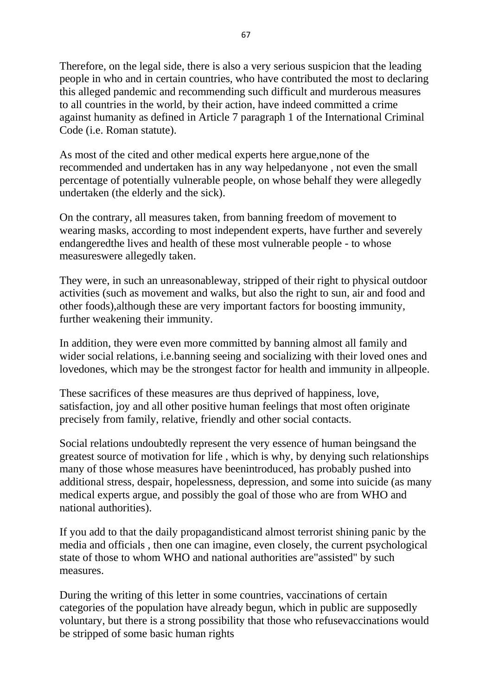Therefore, on the legal side, there is also a very serious suspicion that the leading people in who and in certain countries, who have contributed the most to declaring this alleged pandemic and recommending such difficult and murderous measures to all countries in the world, by their action, have indeed committed a crime against humanity as defined in Article 7 paragraph 1 of the International Criminal Code (i.e. Roman statute).

As most of the cited and other medical experts here argue,none of the recommended and undertaken has in any way helpedanyone , not even the small percentage of potentially vulnerable people, on whose behalf they were allegedly undertaken (the elderly and the sick).

On the contrary, all measures taken, from banning freedom of movement to wearing masks, according to most independent experts, have further and severely endangeredthe lives and health of these most vulnerable people - to whose measureswere allegedly taken.

They were, in such an unreasonableway, stripped of their right to physical outdoor activities (such as movement and walks, but also the right to sun, air and food and other foods),although these are very important factors for boosting immunity, further weakening their immunity.

In addition, they were even more committed by banning almost all family and wider social relations, i.e.banning seeing and socializing with their loved ones and lovedones, which may be the strongest factor for health and immunity in allpeople.

These sacrifices of these measures are thus deprived of happiness, love, satisfaction, joy and all other positive human feelings that most often originate precisely from family, relative, friendly and other social contacts.

Social relations undoubtedly represent the very essence of human beingsand the greatest source of motivation for life , which is why, by denying such relationships many of those whose measures have beenintroduced, has probably pushed into additional stress, despair, hopelessness, depression, and some into suicide (as many medical experts argue, and possibly the goal of those who are from WHO and national authorities).

If you add to that the daily propagandisticand almost terrorist shining panic by the media and officials , then one can imagine, even closely, the current psychological state of those to whom WHO and national authorities are"assisted" by such measures.

During the writing of this letter in some countries, vaccinations of certain categories of the population have already begun, which in public are supposedly voluntary, but there is a strong possibility that those who refusevaccinations would be stripped of some basic human rights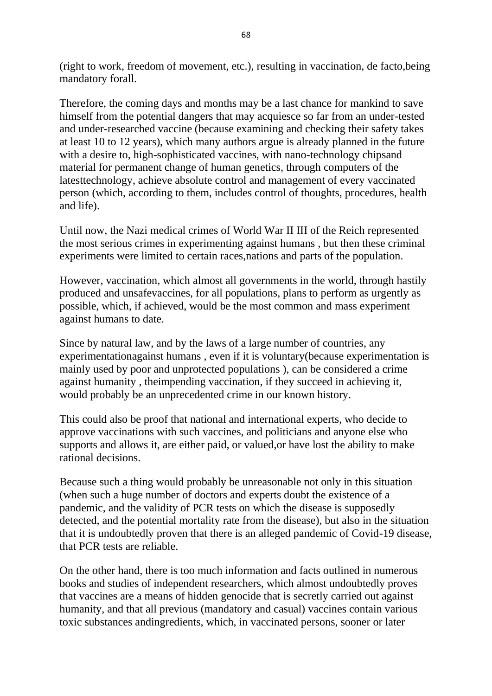(right to work, freedom of movement, etc.), resulting in vaccination, de facto,being mandatory forall.

Therefore, the coming days and months may be a last chance for mankind to save himself from the potential dangers that may acquiesce so far from an under-tested and under-researched vaccine (because examining and checking their safety takes at least 10 to 12 years), which many authors argue is already planned in the future with a desire to, high-sophisticated vaccines, with nano-technology chipsand material for permanent change of human genetics, through computers of the latesttechnology, achieve absolute control and management of every vaccinated person (which, according to them, includes control of thoughts, procedures, health and life).

Until now, the Nazi medical crimes of World War II III of the Reich represented the most serious crimes in experimenting against humans , but then these criminal experiments were limited to certain races,nations and parts of the population.

However, vaccination, which almost all governments in the world, through hastily produced and unsafevaccines, for all populations, plans to perform as urgently as possible, which, if achieved, would be the most common and mass experiment against humans to date.

Since by natural law, and by the laws of a large number of countries, any experimentationagainst humans , even if it is voluntary(because experimentation is mainly used by poor and unprotected populations ), can be considered a crime against humanity , theimpending vaccination, if they succeed in achieving it, would probably be an unprecedented crime in our known history.

This could also be proof that national and international experts, who decide to approve vaccinations with such vaccines, and politicians and anyone else who supports and allows it, are either paid, or valued,or have lost the ability to make rational decisions.

Because such a thing would probably be unreasonable not only in this situation (when such a huge number of doctors and experts doubt the existence of a pandemic, and the validity of PCR tests on which the disease is supposedly detected, and the potential mortality rate from the disease), but also in the situation that it is undoubtedly proven that there is an alleged pandemic of Covid-19 disease, that PCR tests are reliable.

On the other hand, there is too much information and facts outlined in numerous books and studies of independent researchers, which almost undoubtedly proves that vaccines are a means of hidden genocide that is secretly carried out against humanity, and that all previous (mandatory and casual) vaccines contain various toxic substances andingredients, which, in vaccinated persons, sooner or later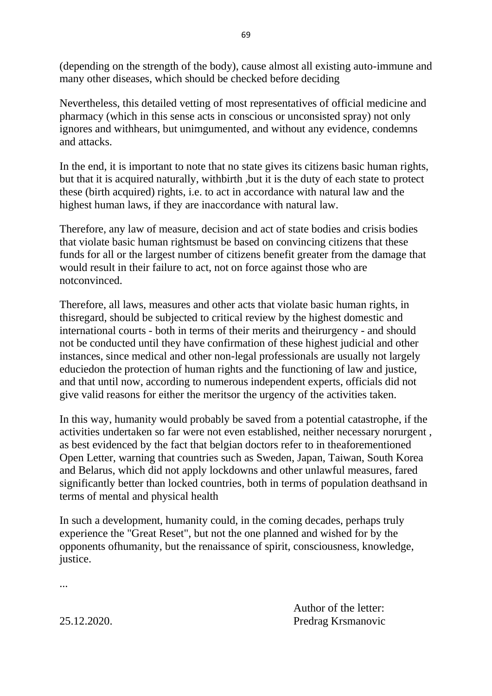(depending on the strength of the body), cause almost all existing auto-immune and many other diseases, which should be checked before deciding

Nevertheless, this detailed vetting of most representatives of official medicine and pharmacy (which in this sense acts in conscious or unconsisted spray) not only ignores and withhears, but unimgumented, and without any evidence, condemns and attacks.

In the end, it is important to note that no state gives its citizens basic human rights, but that it is acquired naturally, withbirth ,but it is the duty of each state to protect these (birth acquired) rights, i.e. to act in accordance with natural law and the highest human laws, if they are inaccordance with natural law.

Therefore, any law of measure, decision and act of state bodies and crisis bodies that violate basic human rightsmust be based on convincing citizens that these funds for all or the largest number of citizens benefit greater from the damage that would result in their failure to act, not on force against those who are notconvinced.

Therefore, all laws, measures and other acts that violate basic human rights, in thisregard, should be subjected to critical review by the highest domestic and international courts - both in terms of their merits and theirurgency - and should not be conducted until they have confirmation of these highest judicial and other instances, since medical and other non-legal professionals are usually not largely educiedon the protection of human rights and the functioning of law and justice, and that until now, according to numerous independent experts, officials did not give valid reasons for either the meritsor the urgency of the activities taken.

In this way, humanity would probably be saved from a potential catastrophe, if the activities undertaken so far were not even established, neither necessary norurgent , as best evidenced by the fact that belgian doctors refer to in theaforementioned Open Letter, warning that countries such as Sweden, Japan, Taiwan, South Korea and Belarus, which did not apply lockdowns and other unlawful measures, fared significantly better than locked countries, both in terms of population deathsand in terms of mental and physical health

In such a development, humanity could, in the coming decades, perhaps truly experience the "Great Reset", but not the one planned and wished for by the opponents ofhumanity, but the renaissance of spirit, consciousness, knowledge, justice.

Author of the letter: 25.12.2020. Predrag Krsmanovic

...